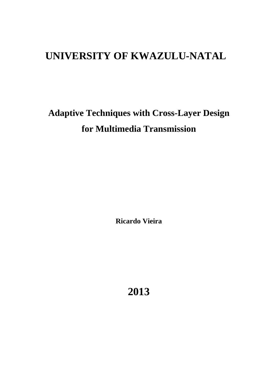## **UNIVERSITY OF KWAZULU-NATAL**

# **Adaptive Techniques with Cross-Layer Design for Multimedia Transmission**

**Ricardo Vieira** 

**2013**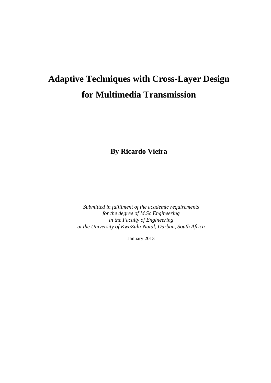# **Adaptive Techniques with Cross-Layer Design for Multimedia Transmission**

**By Ricardo Vieira** 

*Submitted in fulfilment of the academic requirements for the degree of M.Sc Engineering in the Faculty of Engineering at the University of KwaZulu-Natal, Durban, South Africa* 

January 2013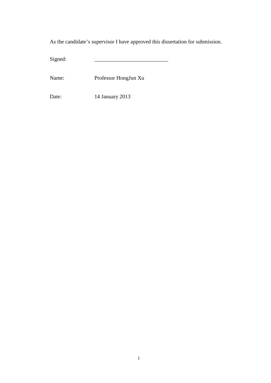As the candidate's supervisor I have approved this dissertation for submission.

Signed:

Name: Professor HongJun Xu

Date: 14 January 2013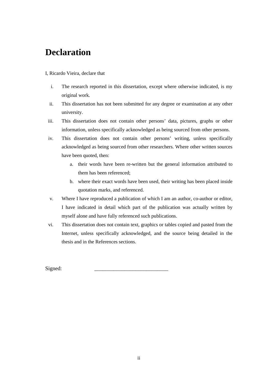## **Declaration**

#### I, Ricardo Vieira, declare that

- i. The research reported in this dissertation, except where otherwise indicated, is my original work.
- ii. This dissertation has not been submitted for any degree or examination at any other university.
- iii. This dissertation does not contain other persons' data, pictures, graphs or other information, unless specifically acknowledged as being sourced from other persons.
- iv. This dissertation does not contain other persons' writing, unless specifically acknowledged as being sourced from other researchers. Where other written sources have been quoted, then:
	- a. their words have been re-written but the general information attributed to them has been referenced;
	- b. where their exact words have been used, their writing has been placed inside quotation marks, and referenced.
- v. Where I have reproduced a publication of which I am an author, co-author or editor, I have indicated in detail which part of the publication was actually written by myself alone and have fully referenced such publications.
- vi. This dissertation does not contain text, graphics or tables copied and pasted from the Internet, unless specifically acknowledged, and the source being detailed in the thesis and in the References sections.

Signed: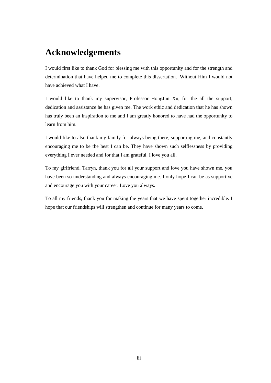## **Acknowledgements**

I would first like to thank God for blessing me with this opportunity and for the strength and determination that have helped me to complete this dissertation. Without Him I would not have achieved what I have.

I would like to thank my supervisor, Professor HongJun Xu, for the all the support, dedication and assistance he has given me. The work ethic and dedication that he has shown has truly been an inspiration to me and I am greatly honored to have had the opportunity to learn from him.

I would like to also thank my family for always being there, supporting me, and constantly encouraging me to be the best I can be. They have shown such selflessness by providing everything I ever needed and for that I am grateful. I love you all.

To my girlfriend, Tarryn, thank you for all your support and love you have shown me, you have been so understanding and always encouraging me. I only hope I can be as supportive and encourage you with your career. Love you always.

To all my friends, thank you for making the years that we have spent together incredible. I hope that our friendships will strengthen and continue for many years to come.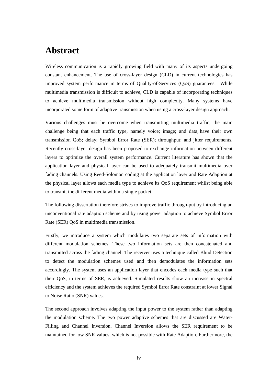### **Abstract**

Wireless communication is a rapidly growing field with many of its aspects undergoing constant enhancement. The use of cross-layer design (CLD) in current technologies has improved system performance in terms of Quality-of-Services (QoS) guarantees. While multimedia transmission is difficult to achieve, CLD is capable of incorporating techniques to achieve multimedia transmission without high complexity. Many systems have incorporated some form of adaptive transmission when using a cross-layer design approach.

Various challenges must be overcome when transmitting multimedia traffic; the main challenge being that each traffic type, namely voice; image; and data, have their own transmission QoS; delay; Symbol Error Rate (SER); throughput; and jitter requirements. Recently cross-layer design has been proposed to exchange information between different layers to optimize the overall system performance. Current literature has shown that the application layer and physical layer can be used to adequately transmit multimedia over fading channels. Using Reed-Solomon coding at the application layer and Rate Adaption at the physical layer allows each media type to achieve its QoS requirement whilst being able to transmit the different media within a single packet.

The following dissertation therefore strives to improve traffic through-put by introducing an unconventional rate adaption scheme and by using power adaption to achieve Symbol Error Rate (SER) QoS in multimedia transmission.

Firstly, we introduce a system which modulates two separate sets of information with different modulation schemes. These two information sets are then concatenated and transmitted across the fading channel. The receiver uses a technique called Blind Detection to detect the modulation schemes used and then demodulates the information sets accordingly. The system uses an application layer that encodes each media type such that their QoS, in terms of SER, is achieved. Simulated results show an increase in spectral efficiency and the system achieves the required Symbol Error Rate constraint at lower Signal to Noise Ratio (SNR) values.

The second approach involves adapting the input power to the system rather than adapting the modulation scheme. The two power adaptive schemes that are discussed are Water-Filling and Channel Inversion. Channel Inversion allows the SER requirement to be maintained for low SNR values, which is not possible with Rate Adaption. Furthermore, the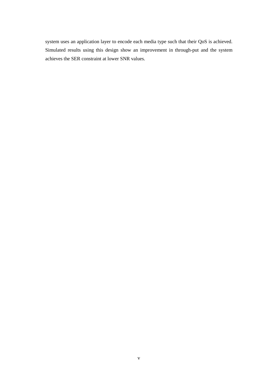system uses an application layer to encode each media type such that their QoS is achieved. Simulated results using this design show an improvement in through-put and the system achieves the SER constraint at lower SNR values.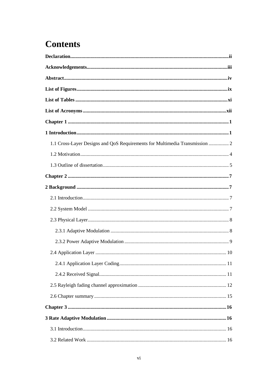## **Contents**

| 1.1 Cross-Layer Designs and QoS Requirements for Multimedia Transmission  2 |
|-----------------------------------------------------------------------------|
|                                                                             |
|                                                                             |
|                                                                             |
|                                                                             |
|                                                                             |
|                                                                             |
|                                                                             |
|                                                                             |
|                                                                             |
|                                                                             |
|                                                                             |
|                                                                             |
|                                                                             |
|                                                                             |
|                                                                             |
|                                                                             |
|                                                                             |
|                                                                             |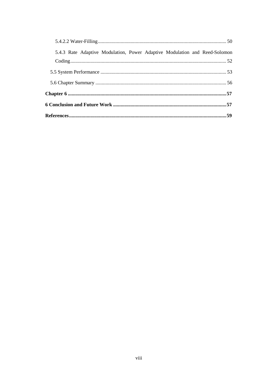| 5.4.3 Rate Adaptive Modulation, Power Adaptive Modulation and Reed-Solomon |  |
|----------------------------------------------------------------------------|--|
|                                                                            |  |
|                                                                            |  |
|                                                                            |  |
|                                                                            |  |
|                                                                            |  |
|                                                                            |  |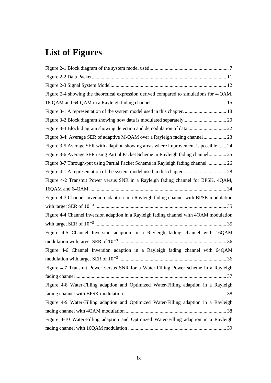## **List of Figures**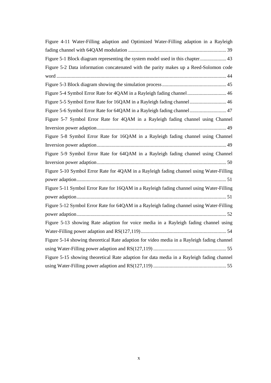| Figure 4-11 Water-Filling adaption and Optimized Water-Filling adaption in a Rayleigh      |
|--------------------------------------------------------------------------------------------|
|                                                                                            |
| Figure 5-1 Block diagram representing the system model used in this chapter 43             |
| Figure 5-2 Data information concatenated with the parity makes up a Reed-Solomon code      |
|                                                                                            |
|                                                                                            |
| Figure 5-4 Symbol Error Rate for 4QAM in a Rayleigh fading channel 46                      |
| Figure 5-5 Symbol Error Rate for 16QAM in a Rayleigh fading channel 46                     |
| Figure 5-6 Symbol Error Rate for 64QAM in a Rayleigh fading channel 47                     |
| Figure 5-7 Symbol Error Rate for 4QAM in a Rayleigh fading channel using Channel           |
|                                                                                            |
| Figure 5-8 Symbol Error Rate for 16QAM in a Rayleigh fading channel using Channel          |
|                                                                                            |
| Figure 5-9 Symbol Error Rate for 64QAM in a Rayleigh fading channel using Channel          |
|                                                                                            |
| Figure 5-10 Symbol Error Rate for 4QAM in a Rayleigh fading channel using Water-Filling    |
|                                                                                            |
| Figure 5-11 Symbol Error Rate for 16QAM in a Rayleigh fading channel using Water-Filling   |
|                                                                                            |
| Figure 5-12 Symbol Error Rate for 64QAM in a Rayleigh fading channel using Water-Filling   |
|                                                                                            |
| Figure 5-13 showing Rate adaption for voice media in a Rayleigh fading channel using       |
|                                                                                            |
| Figure 5-14 showing theoretical Rate adaption for video media in a Rayleigh fading channel |
|                                                                                            |
| Figure 5-15 showing theoretical Rate adaption for data media in a Rayleigh fading channel  |
|                                                                                            |
|                                                                                            |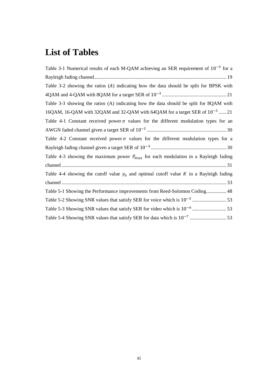## **List of Tables**

| Table 3-1 Numerical results of each M-QAM achieving an SER requirement of $10^{-3}$ for a     |
|-----------------------------------------------------------------------------------------------|
|                                                                                               |
| Table 3-2 showing the ratios (A) indicating how the data should be split for BPSK with        |
|                                                                                               |
| Table 3-3 showing the ratios (A) indicating how the data should be split for 8QAM with        |
| 16QAM, 16-QAM with 32QAM and 32-QAM with 64QAM for a target SER of $10^{-3}$ 21               |
| Table 4-1 Constant received power $\sigma$ values for the different modulation types for an   |
|                                                                                               |
| Table 4-2 Constant received power $\sigma$ values for the different modulation types for a    |
|                                                                                               |
| Table 4-3 showing the maximum power $P_{max}$ for each modulation in a Rayleigh fading        |
|                                                                                               |
| Table 4-4 showing the cutoff value $\gamma_0$ and optimal cutoff value K in a Rayleigh fading |
|                                                                                               |
| Table 5-1 Showing the Performance improvements from Reed-Solomon Coding 48                    |
|                                                                                               |
|                                                                                               |
|                                                                                               |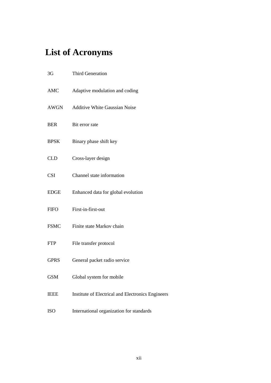## **List of Acronyms**

| 3G          | <b>Third Generation</b>                           |
|-------------|---------------------------------------------------|
| <b>AMC</b>  | Adaptive modulation and coding                    |
| AWGN        | <b>Additive White Gaussian Noise</b>              |
| <b>BER</b>  | Bit error rate                                    |
| <b>BPSK</b> | Binary phase shift key                            |
| <b>CLD</b>  | Cross-layer design                                |
| <b>CSI</b>  | Channel state information                         |
| <b>EDGE</b> | Enhanced data for global evolution                |
| <b>FIFO</b> | First-in-first-out                                |
| <b>FSMC</b> | Finite state Markov chain                         |
| <b>FTP</b>  | File transfer protocol                            |
| <b>GPRS</b> | General packet radio service                      |
| <b>GSM</b>  | Global system for mobile                          |
| <b>IEEE</b> | Institute of Electrical and Electronics Engineers |
| <b>ISO</b>  | International organization for standards          |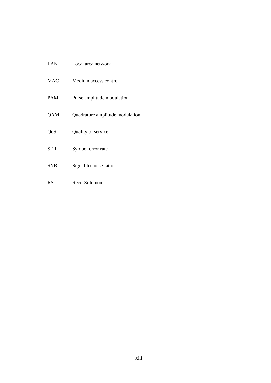| LAN        | Local area network              |
|------------|---------------------------------|
| <b>MAC</b> | Medium access control           |
| <b>PAM</b> | Pulse amplitude modulation      |
| QAM        | Quadrature amplitude modulation |
| QoS        | Quality of service              |
| <b>SER</b> | Symbol error rate               |
| SNR        | Signal-to-noise ratio           |
| RS         | Reed-Solomon                    |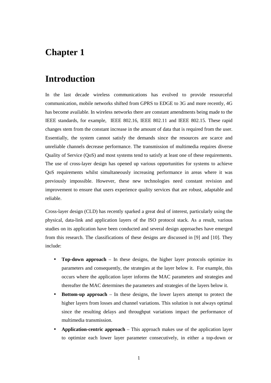### **Chapter 1**

### **Introduction**

In the last decade wireless communications has evolved to provide resourceful communication, mobile networks shifted from GPRS to EDGE to 3G and more recently, 4G has become available. In wireless networks there are constant amendments being made to the IEEE standards, for example, IEEE 802.16, IEEE 802.11 and IEEE 802.15. These rapid changes stem from the constant increase in the amount of data that is required from the user. Essentially, the system cannot satisfy the demands since the resources are scarce and unreliable channels decrease performance. The transmission of multimedia requires diverse Quality of Service (QoS) and most systems tend to satisfy at least one of these requirements. The use of cross-layer design has opened up various opportunities for systems to achieve QoS requirements whilst simultaneously increasing performance in areas where it was previously impossible. However, these new technologies need constant revision and improvement to ensure that users experience quality services that are robust, adaptable and reliable.

Cross-layer design (CLD) has recently sparked a great deal of interest, particularly using the physical, data-link and application layers of the ISO protocol stack. As a result, various studies on its application have been conducted and several design approaches have emerged from this research. The classifications of these designs are discussed in [9] and [10]. They include:

- **Top-down approach** In these designs, the higher layer protocols optimize its parameters and consequently, the strategies at the layer below it. For example, this occurs where the application layer informs the MAC parameters and strategies and thereafter the MAC determines the parameters and strategies of the layers below it.
- **Bottom-up approach** In these designs, the lower layers attempt to protect the higher layers from losses and channel variations. This solution is not always optimal since the resulting delays and throughput variations impact the performance of multimedia transmission.
- **Application-centric approach** This approach makes use of the application layer to optimize each lower layer parameter consecutively, in either a top-down or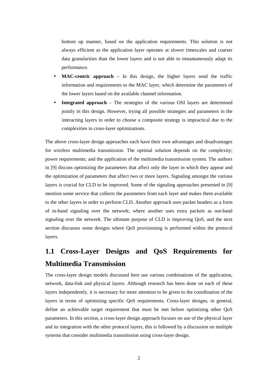bottom up manner, based on the application requirements. This solution is not always efficient as the application layer operates at slower timescales and coarser data granularities than the lower layers and is not able to instantaneously adapt its performance.

- **MAC-centric approach** In this design, the higher layers send the traffic information and requirements to the MAC layer, which determine the parameters of the lower layers based on the available channel information.
- **Integrated approach** The strategies of the various OSI layers are determined jointly in this design. However, trying all possible strategies and parameters in the interacting layers in order to choose a composite strategy is impractical due to the complexities in cross-layer optimizations.

The above cross-layer design approaches each have their own advantages and disadvantages for wireless multimedia transmission. The optimal solution depends on the complexity; power requirements; and the application of the multimedia transmission system. The authors in [9] discuss optimizing the parameters that affect only the layer in which they appear and the optimization of parameters that affect two or more layers. Signaling amongst the various layers is crucial for CLD to be improved. Some of the signaling approaches presented in [9] mention some service that collects the parameters from each layer and makes them available to the other layers in order to perform CLD. Another approach uses packet headers as a form of in-band signaling over the network; where another uses extra packets as out-band signaling over the network. The ultimate purpose of CLD is improving QoS, and the next section discusses some designs where QoS provisioning is performed within the protocol layers.

## **1.1 Cross-Layer Designs and QoS Requirements for Multimedia Transmission**

The cross-layer design models discussed here use various combinations of the application, network, data-link and physical layers. Although research has been done on each of these layers independently, it is necessary for more attention to be given to the coordination of the layers in terms of optimizing specific QoS requirements. Cross-layer designs, in general, define an achievable target requirement that must be met before optimizing other QoS parameters. In this section, a cross-layer design approach focuses on use of the physical layer and its integration with the other protocol layers, this is followed by a discussion on multiple systems that consider multimedia transmission using cross-layer design.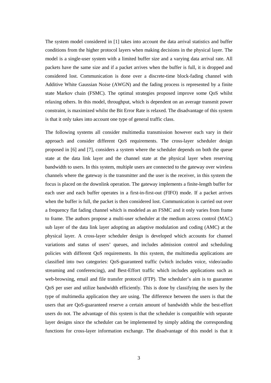The system model considered in [1] takes into account the data arrival statistics and buffer conditions from the higher protocol layers when making decisions in the physical layer. The model is a single-user system with a limited buffer size and a varying data arrival rate. All packets have the same size and if a packet arrives when the buffer is full, it is dropped and considered lost. Communication is done over a discrete-time block-fading channel with Additive White Gaussian Noise (AWGN) and the fading process is represented by a finite state Markov chain (FSMC). The optimal strategies proposed improve some QoS whilst relaxing others. In this model, throughput, which is dependent on an average transmit power constraint, is maximized whilst the Bit Error Rate is relaxed. The disadvantage of this system is that it only takes into account one type of general traffic class.

The following systems all consider multimedia transmission however each vary in their approach and consider different QoS requirements. The cross-layer scheduler design proposed in [6] and [7], considers a system where the scheduler depends on both the queue state at the data link layer and the channel state at the physical layer when reserving bandwidth to users. In this system, multiple users are connected to the gateway over wireless channels where the gateway is the transmitter and the user is the receiver, in this system the focus is placed on the downlink operation. The gateway implements a finite-length buffer for each user and each buffer operates in a first-in-first-out (FIFO) mode. If a packet arrives when the buffer is full, the packet is then considered lost. Communication is carried out over a frequency flat fading channel which is modeled as an FSMC and it only varies from frame to frame. The authors propose a multi-user scheduler at the medium access control (MAC) sub layer of the data link layer adopting an adaptive modulation and coding (AMC) at the physical layer. A cross-layer scheduler design is developed which accounts for channel variations and status of users' queues, and includes admission control and scheduling policies with different QoS requirements. In this system, the multimedia applications are classified into two categories: QoS-guaranteed traffic (which includes voice, video/audio streaming and conferencing), and Best-Effort traffic which includes applications such as web-browsing, email and file transfer protocol (FTP). The scheduler's aim is to guarantee QoS per user and utilize bandwidth efficiently. This is done by classifying the users by the type of multimedia application they are using. The difference between the users is that the users that are QoS-guaranteed reserve a certain amount of bandwidth while the best-effort users do not. The advantage of this system is that the scheduler is compatible with separate layer designs since the scheduler can be implemented by simply adding the corresponding functions for cross-layer information exchange. The disadvantage of this model is that it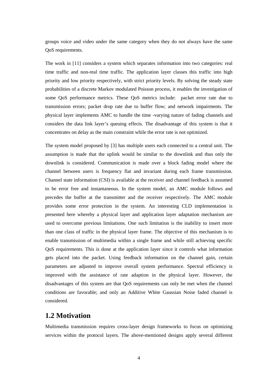groups voice and video under the same category when they do not always have the same QoS requirements.

The work in [11] considers a system which separates information into two categories: real time traffic and non-real time traffic. The application layer classes this traffic into high priority and low priority respectively, with strict priority levels. By solving the steady state probabilities of a discrete Markov modulated Poisson process, it enables the investigation of some QoS performance metrics. These QoS metrics include: packet error rate due to transmission errors; packet drop rate due to buffer flow; and network impairments. The physical layer implements AMC to handle the time -varying nature of fading channels and considers the data link layer's queuing effects. The disadvantage of this system is that it concentrates on delay as the main constraint while the error rate is not optimized.

The system model proposed by [3] has multiple users each connected to a central unit. The assumption is made that the uplink would be similar to the downlink and thus only the downlink is considered. Communication is made over a block fading model where the channel between users is frequency flat and invariant during each frame transmission. Channel state information (CSI) is available at the receiver and channel feedback is assumed to be error free and instantaneous. In the system model, an AMC module follows and precedes the buffer at the transmitter and the receiver respectively. The AMC module provides some error protection in the system. An interesting CLD implementation is presented here whereby a physical layer and application layer adaptation mechanism are used to overcome previous limitations. One such limitation is the inability to insert more than one class of traffic in the physical layer frame. The objective of this mechanism is to enable transmission of multimedia within a single frame and while still achieving specific QoS requirements. This is done at the application layer since it controls what information gets placed into the packet. Using feedback information on the channel gain, certain parameters are adjusted to improve overall system performance. Spectral efficiency is improved with the assistance of rate adaption in the physical layer. However, the disadvantages of this system are that QoS requirements can only be met when the channel conditions are favorable; and only an Additive White Gaussian Noise faded channel is considered.

#### **1.2 Motivation**

Multimedia transmission requires cross-layer design frameworks to focus on optimizing services within the protocol layers. The above-mentioned designs apply several different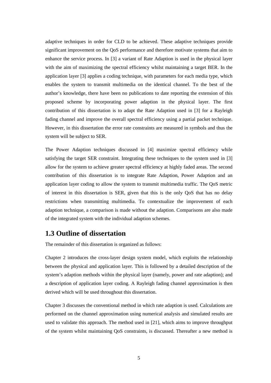adaptive techniques in order for CLD to be achieved. These adaptive techniques provide significant improvement on the QoS performance and therefore motivate systems that aim to enhance the service process. In [3] a variant of Rate Adaption is used in the physical layer with the aim of maximizing the spectral efficiency whilst maintaining a target BER. In the application layer [3] applies a coding technique, with parameters for each media type, which enables the system to transmit multimedia on the identical channel. To the best of the author's knowledge, there have been no publications to date reporting the extension of this proposed scheme by incorporating power adaption in the physical layer. The first contribution of this dissertation is to adapt the Rate Adaption used in [3] for a Rayleigh fading channel and improve the overall spectral efficiency using a partial packet technique. However, in this dissertation the error rate constraints are measured in symbols and thus the system will be subject to SER.

The Power Adaption techniques discussed in [4] maximize spectral efficiency while satisfying the target SER constraint. Integrating these techniques to the system used in [3] allow for the system to achieve greater spectral efficiency at highly faded areas. The second contribution of this dissertation is to integrate Rate Adaption, Power Adaption and an application layer coding to allow the system to transmit multimedia traffic. The QoS metric of interest in this dissertation is SER, given that this is the only QoS that has no delay restrictions when transmitting multimedia. To contextualize the improvement of each adaption technique, a comparison is made without the adaption. Comparisons are also made of the integrated system with the individual adaption schemes.

#### **1.3 Outline of dissertation**

The remainder of this dissertation is organized as follows:

Chapter 2 introduces the cross-layer design system model, which exploits the relationship between the physical and application layer. This is followed by a detailed description of the system's adaption methods within the physical layer (namely, power and rate adaption); and a description of application layer coding. A Rayleigh fading channel approximation is then derived which will be used throughout this dissertation.

Chapter 3 discusses the conventional method in which rate adaption is used. Calculations are performed on the channel approximation using numerical analysis and simulated results are used to validate this approach. The method used in [21], which aims to improve throughput of the system whilst maintaining QoS constraints, is discussed. Thereafter a new method is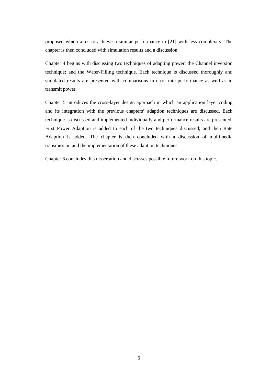proposed which aims to achieve a similar performance to [21] with less complexity. The chapter is then concluded with simulation results and a discussion.

Chapter 4 begins with discussing two techniques of adapting power; the Channel inversion technique; and the Water-Filling technique. Each technique is discussed thoroughly and simulated results are presented with comparisons in error rate performance as well as in transmit power.

Chapter 5 introduces the cross-layer design approach in which an application layer coding and its integration with the previous chapters' adaption techniques are discussed. Each technique is discussed and implemented individually and performance results are presented. First Power Adaption is added to each of the two techniques discussed; and then Rate Adaption is added. The chapter is then concluded with a discussion of multimedia transmission and the implementation of these adaption techniques.

Chapter 6 concludes this dissertation and discusses possible future work on this topic.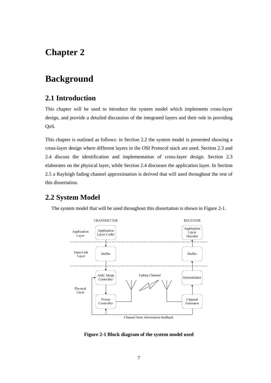## **Chapter 2**

## **Background**

#### **2.1 Introduction**

This chapter will be used to introduce the system model which implements cross-layer design, and provide a detailed discussion of the integrated layers and their role in providing QoS.

This chapter is outlined as follows: in Section 2.2 the system model is presented showing a cross-layer design where different layers in the OSI Protocol stack are used. Section 2.3 and 2.4 discuss the identification and implementation of cross-layer design. Section 2.3 elaborates on the physical layer, while Section 2.4 discusses the application layer. In Section 2.5 a Rayleigh fading channel approximation is derived that will used throughout the rest of this dissertation.

### **2.2 System Model**



The system model that will be used throughout this dissertation is shown in Figure 2-1.

**Figure 2-1 Block diagram of the system model used**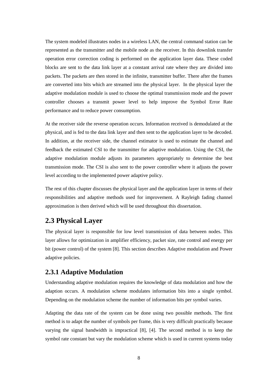The system modeled illustrates nodes in a wireless LAN, the central command station can be represented as the transmitter and the mobile node as the receiver. In this downlink transfer operation error correction coding is performed on the application layer data. These coded blocks are sent to the data link layer at a constant arrival rate where they are divided into packets. The packets are then stored in the infinite, transmitter buffer. There after the frames are converted into bits which are streamed into the physical layer. In the physical layer the adaptive modulation module is used to choose the optimal transmission mode and the power controller chooses a transmit power level to help improve the Symbol Error Rate performance and to reduce power consumption.

At the receiver side the reverse operation occurs. Information received is demodulated at the physical, and is fed to the data link layer and then sent to the application layer to be decoded. In addition, at the receiver side, the channel estimator is used to estimate the channel and feedback the estimated CSI to the transmitter for adaptive modulation. Using the CSI, the adaptive modulation module adjusts its parameters appropriately to determine the best transmission mode. The CSI is also sent to the power controller where it adjusts the power level according to the implemented power adaptive policy.

The rest of this chapter discusses the physical layer and the application layer in terms of their responsibilities and adaptive methods used for improvement. A Rayleigh fading channel approximation is then derived which will be used throughout this dissertation.

### **2.3 Physical Layer**

The physical layer is responsible for low level transmission of data between nodes. This layer allows for optimization in amplifier efficiency, packet size, rate control and energy per bit (power control) of the system [8]. This section describes Adaptive modulation and Power adaptive policies.

#### **2.3.1 Adaptive Modulation**

Understanding adaptive modulation requires the knowledge of data modulation and how the adaption occurs. A modulation scheme modulates information bits into a single symbol. Depending on the modulation scheme the number of information bits per symbol varies.

Adapting the data rate of the system can be done using two possible methods. The first method is to adapt the number of symbols per frame, this is very difficult practically because varying the signal bandwidth is impractical [8], [4]. The second method is to keep the symbol rate constant but vary the modulation scheme which is used in current systems today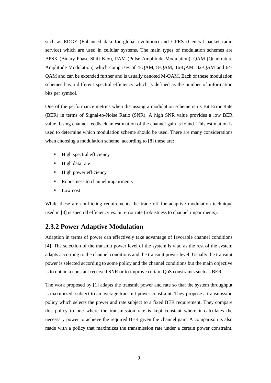such as EDGE (Enhanced data for global evolution) and GPRS (General packet radio service) which are used in cellular systems. The main types of modulation schemes are BPSK (Binary Phase Shift Key), PAM (Pulse Amplitude Modulation), QAM (Quadtrature Amplitude Modulation) which comprises of 4-QAM, 8-QAM, 16-QAM, 32-QAM and 64- QAM and can be extended further and is usually denoted M-QAM. Each of these modulation schemes has a different spectral efficiency which is defined as the number of information bits per symbol.

One of the performance metrics when discussing a modulation scheme is its Bit Error Rate (BER) in terms of Signal-to-Noise Ratio (SNR). A high SNR value provides a low BER value. Using channel feedback an estimation of the channel gain is found. This estimation is used to determine which modulation scheme should be used. There are many considerations when choosing a modulation scheme, according to [8] these are:

- High spectral efficiency
- High data rate
- High power efficiency
- Robustness to channel impairments
- Low cost

While these are conflicting requirements the trade off for adaptive modulation technique used in [3] is spectral efficiency vs. bit error rate (robustness to channel impairments).

#### **2.3.2 Power Adaptive Modulation**

Adaption in terms of power can effectively take advantage of favorable channel conditions [4]. The selection of the transmit power level of the system is vital as the rest of the system adapts according to the channel conditions and the transmit power level. Usually the transmit power is selected according to some policy and the channel conditions but the main objective is to obtain a constant received SNR or to improve certain QoS constraints such as BER.

The work proposed by [1] adapts the transmit power and rate so that the system throughput is maximized; subject to an average transmit power constraint. They propose a transmission policy which selects the power and rate subject to a fixed BER requirement. They compare this policy to one where the transmission rate is kept constant where it calculates the necessary power to achieve the required BER given the channel gain. A comparison is also made with a policy that maximizes the transmission rate under a certain power constraint.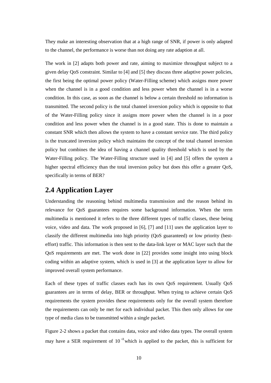They make an interesting observation that at a high range of SNR, if power is only adapted to the channel, the performance is worse than not doing any rate adaption at all.

The work in [2] adapts both power and rate, aiming to maximize throughput subject to a given delay QoS constraint. Similar to [4] and [5] they discuss three adaptive power policies, the first being the optimal power policy (Water-Filling scheme) which assigns more power when the channel is in a good condition and less power when the channel is in a worse condition. In this case, as soon as the channel is below a certain threshold no information is transmitted. The second policy is the total channel inversion policy which is opposite to that of the Water-Filling policy since it assigns more power when the channel is in a poor condition and less power when the channel is in a good state. This is done to maintain a constant SNR which then allows the system to have a constant service rate. The third policy is the truncated inversion policy which maintains the concept of the total channel inversion policy but combines the idea of having a channel quality threshold which is used by the Water-Filling policy. The Water-Filling structure used in [4] and [5] offers the system a higher spectral efficiency than the total inversion policy but does this offer a greater OoS, specifically in terms of BER?

#### **2.4 Application Layer**

Understanding the reasoning behind multimedia transmission and the reason behind its relevance for QoS guarantees requires some background information. When the term multimedia is mentioned it refers to the three different types of traffic classes, these being voice, video and data. The work proposed in [6], [7] and [11] uses the application layer to classify the different multimedia into high priority (QoS guaranteed) or low priority (besteffort) traffic. This information is then sent to the data-link layer or MAC layer such that the QoS requirements are met. The work done in [22] provides some insight into using block coding within an adaptive system, which is used in [3] at the application layer to allow for improved overall system performance.

Each of these types of traffic classes each has its own QoS requirement. Usually QoS guarantees are in terms of delay, BER or throughput. When trying to achieve certain QoS requirements the system provides these requirements only for the overall system therefore the requirements can only be met for each individual packet. This then only allows for one type of media class to be transmitted within a single packet.

Figure 2-2 shows a packet that contains data, voice and video data types. The overall system may have a SER requirement of  $10^{-3}$  which is applied to the packet, this is sufficient for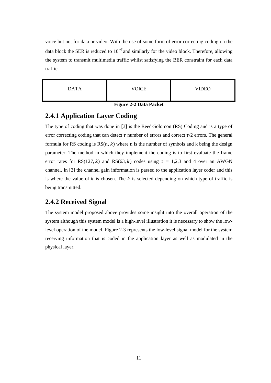voice but not for data or video. With the use of some form of error correcting coding on the data block the SER is reduced to 10<sup> $-7$ </sup> and similarly for the video block. Therefore, allowing the system to transmit multimedia traffic whilst satisfying the BER constraint for each data traffic.

| <b>DATA</b> | <b>VOICE</b> | VIDEO |
|-------------|--------------|-------|
|             |              |       |

**Figure 2-2 Data Packet** 

#### **2.4.1 Application Layer Coding**

The type of coding that was done in [3] is the Reed-Solomon (RS) Coding and is a type of error correcting coding that can detect  $\tau$  number of errors and correct  $\tau/2$  errors. The general formula for RS coding is  $RS(n, k)$  where n is the number of symbols and k being the design parameter. The method in which they implement the coding is to first evaluate the frame error rates for RS(127, k) and RS(63, k) codes using  $\tau = 1,2,3$  and 4 over an AWGN channel. In [3] the channel gain information is passed to the application layer coder and this is where the value of  $k$  is chosen. The  $k$  is selected depending on which type of traffic is being transmitted.

#### **2.4.2 Received Signal**

The system model proposed above provides some insight into the overall operation of the system although this system model is a high-level illustration it is necessary to show the lowlevel operation of the model. Figure 2-3 represents the low-level signal model for the system receiving information that is coded in the application layer as well as modulated in the physical layer.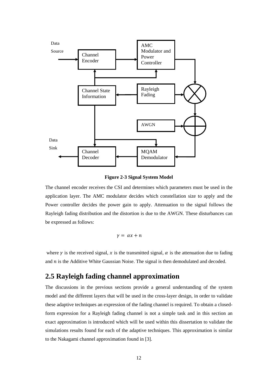

**Figure 2-3 Signal System Model** 

The channel encoder receives the CSI and determines which parameters must be used in the application layer. The AMC modulator decides which constellation size to apply and the Power controller decides the power gain to apply. Attenuation to the signal follows the Rayleigh fading distribution and the distortion is due to the AWGN. These disturbances can be expressed as follows:

$$
\gamma = \alpha x + n
$$

where  $\gamma$  is the received signal,  $\chi$  is the transmitted signal,  $\alpha$  is the attenuation due to fading and  $n$  is the Additive White Gaussian Noise. The signal is then demodulated and decoded.

#### **2.5 Rayleigh fading channel approximation**

The discussions in the previous sections provide a general understanding of the system model and the different layers that will be used in the cross-layer design, in order to validate these adaptive techniques an expression of the fading channel is required. To obtain a closedform expression for a Rayleigh fading channel is not a simple task and in this section an exact approximation is introduced which will be used within this dissertation to validate the simulations results found for each of the adaptive techniques. This approximation is similar to the Nakagami channel approximation found in [3].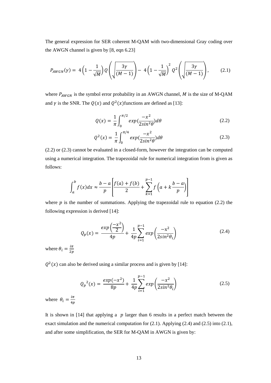The general expression for SER coherent M-QAM with two-dimensional Gray coding over the AWGN channel is given by [8, eqn 6.23]

$$
P_{AWGN}(\gamma) = 4\left(1 - \frac{1}{\sqrt{M}}\right)Q\left(\sqrt{\frac{3\gamma}{(M-1)}}\right) - 4\left(1 - \frac{1}{\sqrt{M}}\right)^2 Q^2\left(\sqrt{\frac{3\gamma}{(M-1)}}\right),\tag{2.1}
$$

where  $P_{AWGN}$  is the symbol error probability in an AWGN channel,  $M$  is the size of M-QAM and  $\gamma$  is the SNR. The  $Q(x)$  and  $Q^2(x)$  functions are defined as [13]:

$$
Q(x) = \frac{1}{\pi} \int_0^{\pi/2} exp(\frac{-x^2}{2\sin^2 \theta}) d\theta \qquad (2.2)
$$

$$
Q^2(x) = \frac{1}{\pi} \int_0^{\pi/4} exp(\frac{-x^2}{2\sin^2 \theta}) d\theta \qquad (2.3)
$$

(2.2) or (2.3) cannot be evaluated in a closed-form, however the integration can be computed using a numerical integration. The trapezoidal rule for numerical integration from is given as follows:

$$
\int_{a}^{b} f(x)dx \approx \frac{b-a}{p} \left[ \frac{f(a) + f(b)}{2} + \sum_{k=1}^{p-1} f\left(a + k \frac{b-a}{p}\right) \right]
$$

where  $p$  is the number of summations. Applying the trapezoidal rule to equation (2.2) the following expression is derived [14]:

$$
Q_p(x) = \frac{\exp\left(\frac{-x^2}{2}\right)}{4p} + \frac{1}{4p} \sum_{i=1}^{p-1} \exp\left(\frac{-x^2}{2\sin^2\theta_i}\right) \tag{2.4}
$$

where  $\theta_i = \frac{i\pi}{2n}$  $_{2p}$ 

 $Q^2(x)$  can also be derived using a similar process and is given by [14]:

$$
Q_p^2(x) = \frac{exp(-x^2)}{8p} + \frac{1}{4p} \sum_{i=1}^{p-1} exp\left(\frac{-x^2}{2sin^2\theta_i}\right)
$$
 (2.5)

where  $\theta_i = \frac{i\pi}{4n}$  $_{4p}$ 

It is shown in  $[14]$  that applying a  $p$  larger than 6 results in a perfect match between the exact simulation and the numerical computation for (2.1). Applying (2.4) and (2.5) into (2.1), and after some simplification, the SER for M-QAM in AWGN is given by: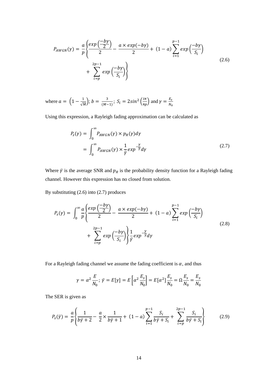$$
P_{AWGN}(y) = \frac{a}{p} \left\{ \frac{exp\left(\frac{-by}{2}\right)}{2} - \frac{a \times exp(-by)}{2} + (1-a) \sum_{i=1}^{p-1} exp\left(\frac{-by}{S_i}\right) + \sum_{i=p}^{2p-1} exp\left(\frac{-by}{S_i}\right) \right\}
$$
(2.6)

where  $a = \left(1 - \frac{1}{\sqrt{M}}\right); b = \frac{3}{(M-1)}; S_i = 2sin^2\left(\frac{i\pi}{4p}\right)$  and  $\gamma = \frac{E_s}{N_0}$  $rac{E_S}{N_0}$ 

Using this expression, a Rayleigh fading approximation can be calculated as

$$
P_{s}(\gamma) = \int_{0}^{\infty} P_{AWGN}(\gamma) \times p_{R}(\gamma) d\gamma
$$
  
= 
$$
\int_{0}^{\infty} P_{AWGN}(\gamma) \times \frac{1}{\overline{\gamma}} exp^{-\frac{\gamma}{\overline{\gamma}}} d\gamma
$$
 (2.7)

Where  $\bar{y}$  is the average SNR and  $p_R$  is the probability density function for a Rayleigh fading channel. However this expression has no closed from solution.

By substituting (2.6) into (2.7) produces

$$
P_{s}(\gamma) = \int_{0}^{\infty} \frac{a}{p} \left\{ \frac{exp\left(\frac{-b\gamma}{2}\right)}{2} - \frac{a \times exp(-b\gamma)}{2} + (1 - a) \sum_{i=1}^{p-1} exp\left(\frac{-b\gamma}{S_i}\right) + \sum_{i=p}^{2p-1} exp\left(\frac{-b\gamma}{S_i}\right) \right\} \frac{1}{\bar{\gamma}} exp^{-\frac{\gamma}{\bar{\gamma}}} d\gamma
$$
\n(2.8)

For a Rayleigh fading channel we assume the fading coefficient is  $\alpha$ , and thus

$$
\gamma = \alpha^2 \frac{E}{N_0}; \ \bar{\gamma} = E[\gamma] = E\left[\alpha^2 \frac{E_s}{N_0}\right] = E[\alpha^2] \frac{E_s}{N_0} = \Omega \frac{E_s}{N_0} = \frac{E_s}{N_0}
$$

The SER is given as

$$
P_{s}(\bar{y}) = \frac{a}{p} \left\{ \frac{1}{b\bar{y} + 2} - \frac{a}{2} \times \frac{1}{b\bar{y} + 1} + (1 - a) \sum_{i=1}^{p-1} \frac{S_{i}}{b\bar{y} + S_{i}} + \sum_{i=p}^{2p-1} \frac{S_{i}}{b\bar{y} + S_{i}} \right\}
$$
(2.9)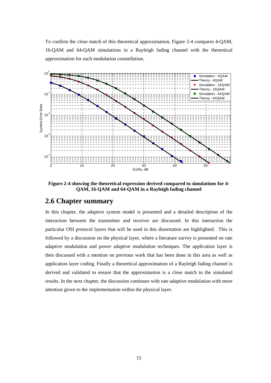To confirm the close match of this theoretical approximation, Figure 2-4 compares 4-QAM, 16-QAM and 64-QAM simulations in a Rayleigh fading channel with the theoretical approximation for each modulation constellation.



**Figure 2-4 showing the theoretical expression derived compared to simulations for 4- QAM, 16-QAM and 64-QAM in a Rayleigh fading channel**

#### **2.6 Chapter summary**

In this chapter, the adaptive system model is presented and a detailed description of the interaction between the transmitter and receiver are discussed. In this interaction the particular OSI protocol layers that will be used in this dissertation are highlighted. This is followed by a discussion on the physical layer, where a literature survey is presented on rate adaptive modulation and power adaptive modulation techniques. The application layer is then discussed with a mention on previous work that has been done in this area as well as application layer coding. Finally a theoretical approximation of a Rayleigh fading channel is derived and validated to ensure that the approximation is a close match to the simulated results. In the next chapter, the discussion continues with rate adaptive modulation with more attention given to the implementation within the physical layer.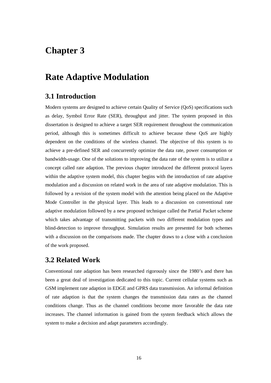### **Chapter 3**

### **Rate Adaptive Modulation**

#### **3.1 Introduction**

Modern systems are designed to achieve certain Quality of Service (QoS) specifications such as delay, Symbol Error Rate (SER), throughput and jitter. The system proposed in this dissertation is designed to achieve a target SER requirement throughout the communication period, although this is sometimes difficult to achieve because these QoS are highly dependent on the conditions of the wireless channel. The objective of this system is to achieve a pre-defined SER and concurrently optimize the data rate, power consumption or bandwidth-usage. One of the solutions to improving the data rate of the system is to utilize a concept called rate adaption. The previous chapter introduced the different protocol layers within the adaptive system model, this chapter begins with the introduction of rate adaptive modulation and a discussion on related work in the area of rate adaptive modulation. This is followed by a revision of the system model with the attention being placed on the Adaptive Mode Controller in the physical layer. This leads to a discussion on conventional rate adaptive modulation followed by a new proposed technique called the Partial Packet scheme which takes advantage of transmitting packets with two different modulation types and blind-detection to improve throughput. Simulation results are presented for both schemes with a discussion on the comparisons made. The chapter draws to a close with a conclusion of the work proposed.

#### **3.2 Related Work**

Conventional rate adaption has been researched rigorously since the 1980's and there has been a great deal of investigation dedicated to this topic. Current cellular systems such as GSM implement rate adaption in EDGE and GPRS data transmission. An informal definition of rate adaption is that the system changes the transmission data rates as the channel conditions change. Thus as the channel conditions become more favorable the data rate increases. The channel information is gained from the system feedback which allows the system to make a decision and adapt parameters accordingly.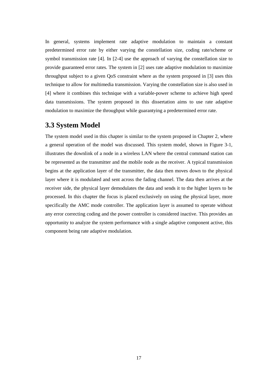In general, systems implement rate adaptive modulation to maintain a constant predetermined error rate by either varying the constellation size, coding rate/scheme or symbol transmission rate [4]. In [2-4] use the approach of varying the constellation size to provide guaranteed error rates. The system in [2] uses rate adaptive modulation to maximize throughput subject to a given QoS constraint where as the system proposed in [3] uses this technique to allow for multimedia transmission. Varying the constellation size is also used in [4] where it combines this technique with a variable-power scheme to achieve high speed data transmissions. The system proposed in this dissertation aims to use rate adaptive modulation to maximize the throughput while guarantying a predetermined error rate.

#### **3.3 System Model**

The system model used in this chapter is similar to the system proposed in Chapter 2, where a general operation of the model was discussed. This system model, shown in Figure 3-1, illustrates the downlink of a node in a wireless LAN where the central command station can be represented as the transmitter and the mobile node as the receiver. A typical transmission begins at the application layer of the transmitter, the data then moves down to the physical layer where it is modulated and sent across the fading channel. The data then arrives at the receiver side, the physical layer demodulates the data and sends it to the higher layers to be processed. In this chapter the focus is placed exclusively on using the physical layer, more specifically the AMC mode controller. The application layer is assumed to operate without any error correcting coding and the power controller is considered inactive. This provides an opportunity to analyze the system performance with a single adaptive component active, this component being rate adaptive modulation.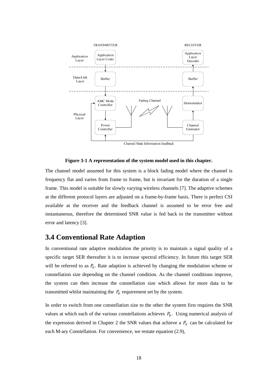

Channel State Information feedback

#### **Figure 3-1 A representation of the system model used in this chapter.**

The channel model assumed for this system is a block fading model where the channel is frequency flat and varies from frame to frame, but is invariant for the duration of a single frame. This model is suitable for slowly varying wireless channels [7]. The adaptive schemes at the different protocol layers are adjusted on a frame-by-frame basis. There is perfect CSI available at the receiver and the feedback channel is assumed to be error free and instantaneous, therefore the determined SNR value is fed back to the transmitter without error and latency [3].

### **3.4 Conventional Rate Adaption**

In conventional rate adaptive modulation the priority is to maintain a signal quality of a specific target SER thereafter it is to increase spectral efficiency. In future this target SER will be referred to as  $P_e$ . Rate adaption is achieved by changing the modulation scheme or constellation size depending on the channel condition. As the channel conditions improve, the system can then increase the constellation size which allows for more data to be transmitted whilst maintaining the  $P_e$  requirement set by the system.

In order to switch from one constellation size to the other the system first requires the SNR values at which each of the various constellations achieves  $P_e$ . Using numerical analysis of the expression derived in Chapter 2 the SNR values that achieve a  $P_e$  can be calculated for each M-ary Constellation. For convenience, we restate equation (2.9),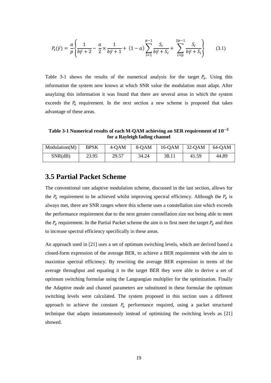$$
P_{s}(\bar{y}) = \frac{a}{p} \left\{ \frac{1}{b\bar{y} + 2} - \frac{a}{2} \times \frac{1}{b\bar{y} + 1} + (1 - a) \sum_{i=1}^{p-1} \frac{S_{i}}{b\bar{y} + S_{i}} + \sum_{i=p}^{2p-1} \frac{S_{i}}{b\bar{y} + S_{i}} \right\}
$$
(3.1)

Table 3-1 shows the results of the numerical analysis for the target  $P_e$ . Using this information the system now knows at which SNR value the modulation must adapt. After anaylzing this information it was found that there are several areas in which the system exceeds the  $P_e$  requirement. In the next section a new scheme is proposed that takes advantage of these areas.

Table 3-1 Numerical results of each M-QAM achieving an SER requirement of  $10^{-3}$ **for a Rayleigh fading channel** 

| Modulation(M) | <b>BPSK</b> | $4-OAM$ | 8-OAM | $16$ -QAM | $32-OAM$ | 64-OAM |
|---------------|-------------|---------|-------|-----------|----------|--------|
| SNR(dB)       | 23.95       | 29.57   | 34.24 | 38.11     | 41.59    | 44.89  |

#### **3.5 Partial Packet Scheme**

The conventional rate adaptive modulation scheme, discussed in the last section, allows for the  $P_e$  requirement to be achieved whilst improving spectral efficiency. Although the  $P_e$  is always met, there are SNR ranges where this scheme uses a constellation size which exceeds the performance requirement due to the next greater constellation size not being able to meet the  $P_e$  requirement. In the Partial Packet scheme the aim is to first meet the target  $P_e$  and then to increase spectral efficiency specifically in these areas.

An approach used in [21] uses a set of optimum switching levels, which are derived based a closed-form expression of the average BER, to achieve a BER requirement with the aim to maximize spectral efficiency. By rewriting the average BER expression in terms of the average throughput and equating it to the target BER they were able to derive a set of optimum switching formulae using the Langrangian multiplier for the optimization. Finally the Adaptive mode and channel parameters are substituted in these formulae the optimum switching levels were calculated. The system proposed in this section uses a different approach to achieve the constant  $P_e$  performance required, using a packet structured technique that adapts instantaneously instead of optimizing the switching levels as [21] showed.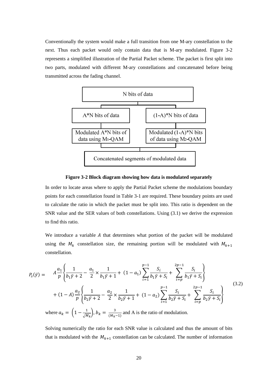Conventionally the system would make a full transition from one M-ary constellation to the next. Thus each packet would only contain data that is M-ary modulated. Figure 3-2 represents a simplified illustration of the Partial Packet scheme. The packet is first split into two parts, modulated with different M-ary constellations and concatenated before being transmitted across the fading channel.



**Figure 3-2 Block diagram showing how data is modulated separately** 

In order to locate areas where to apply the Partial Packet scheme the modulations boundary points for each constellation found in Table 3-1 are required. These boundary points are used to calculate the ratio in which the packet must be split into. This ratio is dependent on the SNR value and the SER values of both constellations. Using (3.1) we derive the expression to find this ratio.

We introduce a variable  $A$  that determines what portion of the packet will be modulated using the  $M_k$  constellation size, the remaining portion will be modulated with  $M_{k+1}$ constellation.

$$
P_{s}(\bar{y}) = A \frac{a_{1}}{p} \left\{ \frac{1}{b_{1}\bar{y} + 2} - \frac{a_{1}}{2} \times \frac{1}{b_{1}\bar{y} + 1} + (1 - a_{1}) \sum_{i=1}^{p-1} \frac{S_{i}}{b_{1}\bar{y} + S_{i}} + \sum_{i=p}^{2p-1} \frac{S_{i}}{b_{1}\bar{y} + S_{i}} \right\}
$$
  
+ 
$$
(1 - A) \frac{a_{2}}{p} \left\{ \frac{1}{b_{2}\bar{y} + 2} - \frac{a_{2}}{2} \times \frac{1}{b_{2}\bar{y} + 1} + (1 - a_{2}) \sum_{i=1}^{p-1} \frac{S_{i}}{b_{2}\bar{y} + S_{i}} + \sum_{i=p}^{2p-1} \frac{S_{i}}{b_{2}\bar{y} + S_{i}} \right\}
$$
  
where  $a_{k} = \left( 1 - \frac{1}{\sqrt{M_{k}}} \right), b_{k} = \frac{3}{(M_{k} - 1)}$  and A is the ratio of modulation.

Solving numerically the ratio for each SNR value is calculated and thus the amount of bits that is modulated with the  $M_{k+1}$  constellation can be calculated. The number of information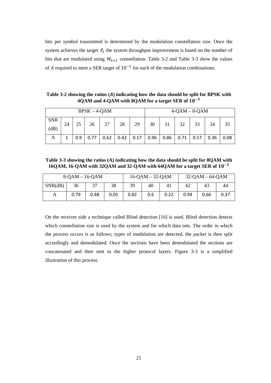bits per symbol transmitted is determined by the modulation constellation size. Once the system achieves the target  $P_e$  the system throughput improvement is based on the number of bits that are modulated using  $M_{k+1}$  constellation. Table 3-2 and Table 3-3 show the values of A required to meet a SER target of  $10^{-3}$  for each of the modulation combinations.

**Table 3-2 showing the ratios (**h**) indicating how the data should be split for BPSK with**   $4QAM$  and  $4-QAM$  with  $8QAM$  for a target SER of  $10^{-3}$ 

| $BPSK - 4-QAM$     |    |     |      |      |                  |    |      | $4-QAM - 8-QAM$ |             |    |      |      |
|--------------------|----|-----|------|------|------------------|----|------|-----------------|-------------|----|------|------|
| <b>SNR</b><br>(dB) | 24 | 25  | 26   | 27   | 28               | 29 | 30   | 31              | 32          | 33 | 34   | 35   |
| A                  | 1  | 0.9 | 0.77 | 0.62 | $0.42 \mid 0.17$ |    | 0.96 | 0.86            | $0.71$ 0.57 |    | 0.36 | 0.08 |

**Table 3-3 showing the ratios (A) indicating how the data should be split for 8QAM with**  16QAM, 16-QAM with 32QAM and 32-QAM with 64QAM for a target SER of  $10^{-3}$ 

| $8-QAM - 16-QAM$ |      |      |      |      | $16-QAM - 32-QAM$ |      | $32-QAM - 64-QAM$ |      |      |
|------------------|------|------|------|------|-------------------|------|-------------------|------|------|
| SNR(dB)          | 36   |      | 38   | 39   | 40                |      | 42                | 43   | 44   |
| А                | 0.79 | 0.48 | 0.05 | 0.82 | 0.6               | 0.22 | 0.94              | 0.66 | 0.37 |

On the receiver side a technique called Blind detection [16] is used. Blind detection detects which constellation size is used by the system and for which data sets. The order in which the process occurs is as follows; types of modulation are detected, the packet is then split accordingly and demodulated. Once the sections have been demodulated the sections are concatenated and then sent to the higher protocol layers. Figure 3-3 is a simplified illustration of this process.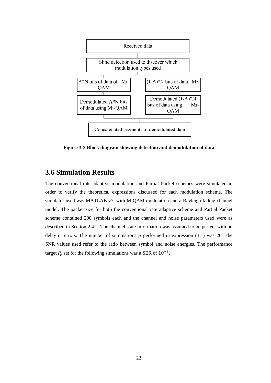

**Figure 3-3 Block diagram showing detection and demodulation of data** 

### **3.6 Simulation Results**

The conventional rate adaptive modulation and Partial Packet schemes were simulated in order to verify the theoretical expressions discussed for each modulation scheme. The simulator used was MATLAB v7, with M-QAM modulation and a Rayleigh fading channel model. The packet size for both the conventional rate adaptive scheme and Partial Packet scheme contained 200 symbols each and the channel and noise parameters used were as described in Section 2.4.2. The channel state information was assumed to be perfect with no delay or errors. The number of summations  $p$  performed in expression (3.1) was 20. The SNR values used refer to the ratio between symbol and noise energies. The performance target  $P_e$  set for the following simulations was a SER of  $10^{-3}$ .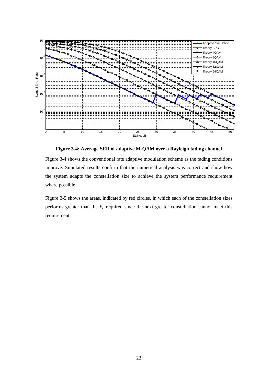

**Figure 3-4: Average SER of adaptive M-QAM over a Rayleigh fading channel** 

Figure 3-4 shows the conventional rate adaptive modulation scheme as the fading conditions improve. Simulated results confirm that the numerical analysis was correct and show how the system adapts the constellation size to achieve the system performance requirement where possible.

Figure 3-5 shows the areas, indicated by red circles, in which each of the constellation sizes performs greater than the  $P_e$  required since the next greater constellation cannot meet this requirement.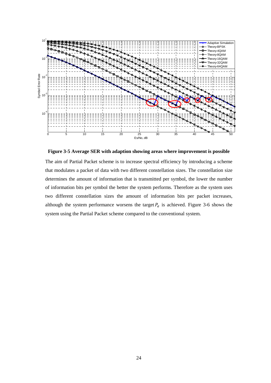

**Figure 3-5 Average SER with adaption showing areas where improvement is possible** 

The aim of Partial Packet scheme is to increase spectral efficiency by introducing a scheme that modulates a packet of data with two different constellation sizes. The constellation size determines the amount of information that is transmitted per symbol, the lower the number of information bits per symbol the better the system performs. Therefore as the system uses two different constellation sizes the amount of information bits per packet increases, although the system performance worsens the target  $P_e$  is achieved. Figure 3-6 shows the system using the Partial Packet scheme compared to the conventional system.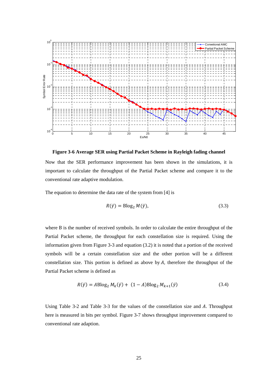

**Figure 3-6 Average SER using Partial Packet Scheme in Rayleigh fading channel** 

Now that the SER performance improvement has been shown in the simulations, it is important to calculate the throughput of the Partial Packet scheme and compare it to the conventional rate adaptive modulation.

The equation to determine the data rate of the system from [4] is

$$
R(\bar{y}) = \text{Blog}_2 M(\bar{y}),\tag{3.3}
$$

where B is the number of received symbols. In order to calculate the entire throughput of the Partial Packet scheme, the throughput for each constellation size is required. Using the information given from Figure 3-3 and equation (3.2) it is noted that a portion of the received symbols will be a certain constellation size and the other portion will be a different constellation size. This portion is defined as above by  $A$ , therefore the throughput of the Partial Packet scheme is defined as

$$
R(\bar{\gamma}) = AB \log_2 M_k(\bar{\gamma}) + (1 - A) B \log_2 M_{k+1}(\bar{\gamma})
$$
\n(3.4)

Using Table 3-2 and Table 3-3 for the values of the constellation size and  $A$ . Throughput here is measured in bits per symbol. Figure 3-7 shows throughput improvement compared to conventional rate adaption.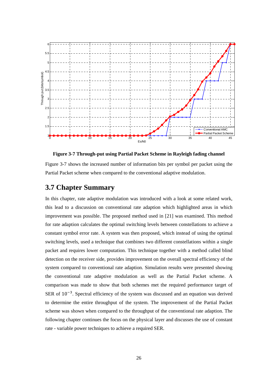

**Figure 3-7 Through-put using Partial Packet Scheme in Rayleigh fading channel** 

Figure 3-7 shows the increased number of information bits per symbol per packet using the Partial Packet scheme when compared to the conventional adaptive modulation.

### **3.7 Chapter Summary**

In this chapter, rate adaptive modulation was introduced with a look at some related work, this lead to a discussion on conventional rate adaption which highlighted areas in which improvement was possible. The proposed method used in [21] was examined. This method for rate adaption calculates the optimal switching levels between constellations to achieve a constant symbol error rate. A system was then proposed, which instead of using the optimal switching levels, used a technique that combines two different constellations within a single packet and requires lower computation. This technique together with a method called blind detection on the receiver side, provides improvement on the overall spectral efficiency of the system compared to conventional rate adaption. Simulation results were presented showing the conventional rate adaptive modulation as well as the Partial Packet scheme. A comparison was made to show that both schemes met the required performance target of SER of  $10^{-3}$ . Spectral efficiency of the system was discussed and an equation was derived to determine the entire throughput of the system. The improvement of the Partial Packet scheme was shown when compared to the throughput of the conventional rate adaption. The following chapter continues the focus on the physical layer and discusses the use of constant rate - variable power techniques to achieve a required SER.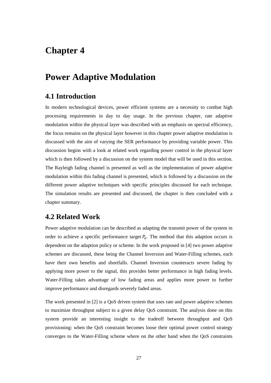# **Chapter 4**

# **Power Adaptive Modulation**

### **4.1 Introduction**

In modern technological devices, power efficient systems are a necessity to combat high processing requirements in day to day usage. In the previous chapter, rate adaptive modulation within the physical layer was described with an emphasis on spectral efficiency, the focus remains on the physical layer however in this chapter power adaptive modulation is discussed with the aim of varying the SER performance by providing variable power. This discussion begins with a look at related work regarding power control in the physical layer which is then followed by a discussion on the system model that will be used in this section. The Rayleigh fading channel is presented as well as the implementation of power adaptive modulation within this fading channel is presented, which is followed by a discussion on the different power adaptive techniques with specific principles discussed for each technique. The simulation results are presented and discussed, the chapter is then concluded with a chapter summary.

### **4.2 Related Work**

Power adaptive modulation can be described as adapting the transmit power of the system in order to achieve a specific performance target  $P_e$ . The method that this adaption occurs is dependent on the adaption policy or scheme. In the work proposed in [4] two power adaptive schemes are discussed, these being the Channel Inversion and Water-Filling schemes, each have their own benefits and shortfalls. Channel Inversion counteracts severe fading by applying more power to the signal, this provides better performance in high fading levels. Water-Filling takes advantage of low fading areas and applies more power to further improve performance and disregards severely faded areas.

The work presented in [2] is a QoS driven system that uses rate and power adaptive schemes to maximize throughput subject to a given delay QoS constraint. The analysis done on this system provide an interesting insight to the tradeoff between throughput and QoS provisioning: when the QoS constraint becomes loose their optimal power control strategy converges to the Water-Filling scheme where on the other hand when the QoS constraints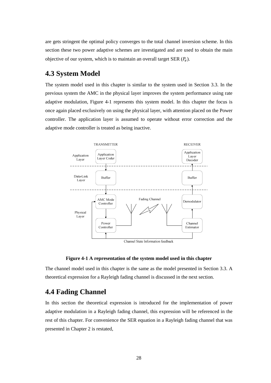are gets stringent the optimal policy converges to the total channel inversion scheme. In this section these two power adaptive schemes are investigated and are used to obtain the main objective of our system, which is to maintain an overall target SER  $(P_e)$ .

### **4.3 System Model**

The system model used in this chapter is similar to the system used in Section 3.3. In the previous system the AMC in the physical layer improves the system performance using rate adaptive modulation, Figure 4-1 represents this system model. In this chapter the focus is once again placed exclusively on using the physical layer, with attention placed on the Power controller. The application layer is assumed to operate without error correction and the adaptive mode controller is treated as being inactive.



Channel State Information feedback

#### **Figure 4-1 A representation of the system model used in this chapter**

The channel model used in this chapter is the same as the model presented in Section 3.3. A theoretical expression for a Rayleigh fading channel is discussed in the next section.

### **4.4 Fading Channel**

In this section the theoretical expression is introduced for the implementation of power adaptive modulation in a Rayleigh fading channel, this expression will be referenced in the rest of this chapter. For convenience the SER equation in a Rayleigh fading channel that was presented in Chapter 2 is restated,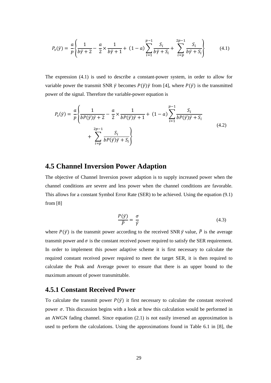$$
P_{s}(\bar{y}) = \frac{a}{p} \left\{ \frac{1}{b\bar{y} + 2} - \frac{a}{2} \times \frac{1}{b\bar{y} + 1} + (1 - a) \sum_{i=1}^{p-1} \frac{S_{i}}{b\bar{y} + S_{i}} + \sum_{i=p}^{2p-1} \frac{S_{i}}{b\bar{y} + S_{i}} \right\}
$$
(4.1)

The expression (4.1) is used to describe a constant-power system, in order to allow for variable power the transmit SNR  $\bar{\gamma}$  becomes  $P(\bar{\gamma})\bar{\gamma}$  from [4], where  $P(\bar{\gamma})$  is the transmitted power of the signal. Therefore the variable-power equation is

$$
P_{s}(\bar{y}) = \frac{a}{p} \left\{ \frac{1}{bP(\bar{y})\bar{y} + 2} - \frac{a}{2} \times \frac{1}{bP(\bar{y})\bar{y} + 1} + (1 - a) \sum_{i=1}^{p-1} \frac{S_{i}}{bP(\bar{y})\bar{y} + S_{i}} + \sum_{i=p}^{2p-1} \frac{S_{i}}{bP(\bar{y})\bar{y} + S_{i}} \right\}
$$
(4.2)

### **4.5 Channel Inversion Power Adaption**

The objective of Channel Inversion power adaption is to supply increased power when the channel conditions are severe and less power when the channel conditions are favorable. This allows for a constant Symbol Error Rate (SER) to be achieved. Using the equation (9.1) from [8]

$$
\frac{P(\bar{y})}{\bar{p}} = \frac{\sigma}{\bar{y}}\tag{4.3}
$$

where  $P(\bar{v})$  is the transmit power according to the received SNR  $\bar{v}$  value,  $\bar{P}$  is the average transmit power and  $\sigma$  is the constant received power required to satisfy the SER requirement. In order to implement this power adaptive scheme it is first necessary to calculate the required constant received power required to meet the target SER, it is then required to calculate the Peak and Average power to ensure that there is an upper bound to the maximum amount of power transmittable.

### **4.5.1 Constant Received Power**

To calculate the transmit power  $P(\bar{y})$  it first necessary to calculate the constant received power  $\sigma$ . This discussion begins with a look at how this calculation would be performed in an AWGN fading channel. Since equation (2.1) is not easily inversed an approximation is used to perform the calculations. Using the approximations found in Table 6.1 in [8], the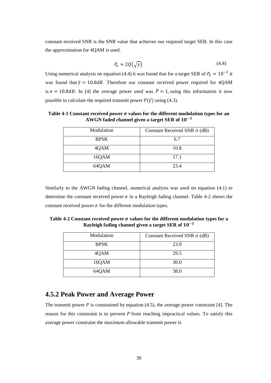constant received SNR is the SNR value that achieves our required target SER. In this case the approximation for 4QAM is used.

$$
P_e \approx 2Q(\sqrt{\gamma})\tag{4.4}
$$

Using numerical analysis on equation (4.4) it was found that for a target SER of  $P_e = 10^{-3}$  it was found that  $\bar{y} = 10.8$  dB. Therefore our constant received power required for 4QAM is  $\sigma = 10.8$ dB. In [4] the average power used was  $\bar{P} = 1$ , using this information it now possible to calculate the required transmit power  $P(\bar{y})$  using (4.3).

**Table 4-1 Constant received power**  $\sigma$  **values for the different modulation types for an** AWGN faded channel given a target SER of  $10^{-3}$ 

| Modulation  | Constant Received SNR $\sigma$ (dB) |  |
|-------------|-------------------------------------|--|
| <b>BPSK</b> | 6.7                                 |  |
| 4QAM        | 10.8                                |  |
| 16QAM       | 17.1                                |  |
| 64QAM       | 23.4                                |  |

Similarly to the AWGN fading channel, numerical analysis was used on equation (4.1) to determine the constant received power  $\sigma$  in a Rayleigh fading channel. Table 4-2 shows the constant received power  $\sigma$  for the different modulation types.

Table 4-2 Constant received power  $\sigma$  values for the different modulation types for a Rayleigh fading channel given a target SER of  $10^{-3}$ 

| Modulation  | Constant Received SNR $\sigma$ (dB) |
|-------------|-------------------------------------|
| <b>BPSK</b> | 23.9                                |
| 4QAM        | 29.5                                |
| 16QAM       | 30.0                                |
| 64QAM       | 38.0                                |

### **4.5.2 Peak Power and Average Power**

The transmit power  $P$  is constrained by equation (4.5), the average power constraint [4]. The reason for this constraint is to prevent  $P$  from reaching impractical values. To satisfy this average power constraint the maximum allowable transmit power is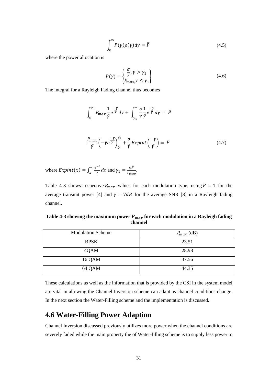$$
\int_0^\infty P(\gamma)\rho(\gamma)d\gamma = \bar{P}
$$
\n(4.5)

where the power allocation is

$$
P(\gamma) = \begin{Bmatrix} \frac{\sigma}{\gamma}, \gamma > \gamma_1 \\ P_{max, \gamma} \le \gamma_1 \end{Bmatrix}
$$
 (4.6)

The integral for a Rayleigh Fading channel thus becomes

$$
\int_0^{\gamma_1} P_{max} \frac{1}{\bar{\gamma}} e^{\frac{-\gamma}{\bar{\gamma}}} d\gamma + \int_{\gamma_1}^{\infty} \frac{\sigma}{\gamma} \frac{1}{\bar{\gamma}} e^{\frac{-\gamma}{\bar{\gamma}}} d\gamma = \bar{P}
$$
  

$$
\frac{P_{max}}{\bar{\gamma}} \left( -\bar{\gamma} e^{\frac{-\gamma}{\bar{\gamma}}} \right)_0^{\gamma_1} + \frac{\sigma}{\bar{\gamma}} Expint \left( \frac{-\gamma}{\bar{\gamma}} \right) = \bar{P}
$$
(4.7)

where  $Expint(x) = \int_x^{\infty} \frac{e^{-t}}{t}$  $t$  $\infty$  $\int_{x}^{\infty} \frac{e^{-t}}{t} dt$  and  $\gamma_1 = \frac{\sigma \bar{P}}{P_{ma}}$  $\frac{\partial F}{\partial P_{max}}$ .

Table 4-3 shows respective  $P_{max}$  values for each modulation type, using  $\bar{P} = 1$  for the average transmit power [4] and  $\bar{y} = 7dB$  for the average SNR [8] in a Rayleigh fading channel.

Table 4-3 showing the maximum power  $P_{max}$  for each modulation in a Rayleigh fading **channel** 

| <b>Modulation Scheme</b> | $P_{max}$ (dB) |
|--------------------------|----------------|
| <b>BPSK</b>              | 23.51          |
| 4QAM                     | 28.98          |
| 16 QAM                   | 37.56          |
| 64 QAM                   | 44.35          |

These calculations as well as the information that is provided by the CSI in the system model are vital in allowing the Channel Inversion scheme can adapt as channel conditions change. In the next section the Water-Filling scheme and the implementation is discussed.

## **4.6 Water-Filling Power Adaption**

Channel Inversion discussed previously utilizes more power when the channel conditions are severely faded while the main property the of Water-filling scheme is to supply less power to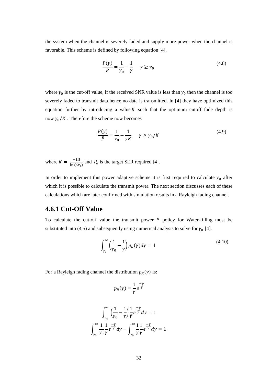the system when the channel is severely faded and supply more power when the channel is favorable. This scheme is defined by following equation [4].

$$
\frac{P(\gamma)}{\overline{P}} = \frac{1}{\gamma_0} - \frac{1}{\gamma} \qquad \gamma \ge \gamma_0 \tag{4.8}
$$

where  $\gamma_0$  is the cut-off value, if the received SNR value is less than  $\gamma_0$  then the channel is too severely faded to transmit data hence no data is transmitted. In [4] they have optimized this equation further by introducing a value  $K$  such that the optimum cutoff fade depth is now  $\gamma_0/K$  . Therefore the scheme now becomes

$$
\frac{P(\gamma)}{\bar{P}} = \frac{1}{\gamma_0} - \frac{1}{\gamma K} \qquad \gamma \ge \gamma_0/K \tag{4.9}
$$

where  $K = \frac{-1.5}{\ln(5P_e)}$  and  $P_e$  is the target SER required [4].

In order to implement this power adaptive scheme it is first required to calculate  $\gamma_0$  after which it is possible to calculate the transmit power. The next section discusses each of these calculations which are later confirmed with simulation results in a Rayleigh fading channel.

### **4.6.1 Cut-Off Value**

To calculate the cut-off value the transmit power  $P$  policy for Water-filling must be substituted into (4.5) and subsequently using numerical analysis to solve for  $\gamma_0$  [4].

$$
\int_{\gamma_0}^{\infty} \left(\frac{1}{\gamma_0} - \frac{1}{\gamma}\right) p_R(\gamma) d\gamma = 1
$$
\n(4.10)

For a Rayleigh fading channel the distribution  $p_R(\gamma)$  is:

$$
p_R(\gamma) = \frac{1}{\bar{\gamma}} e^{\frac{-\gamma}{\bar{\gamma}}}
$$

$$
\int_{\gamma_0}^{\infty} \left(\frac{1}{\gamma_0} - \frac{1}{\gamma}\right) \frac{1}{\bar{\gamma}} e^{\frac{-\gamma}{\bar{\gamma}}} d\gamma = 1
$$
  

$$
\int_{\gamma_0}^{\infty} \frac{1}{\gamma_0} \frac{1}{\bar{\gamma}} e^{\frac{-\gamma}{\bar{\gamma}}} d\gamma - \int_{\gamma_0}^{\infty} \frac{1}{\gamma} \frac{1}{\bar{\gamma}} e^{\frac{-\gamma}{\bar{\gamma}}} d\gamma = 1
$$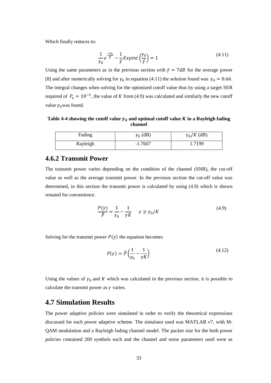Which finally reduces to:

$$
\frac{1}{\gamma_0}e^{\frac{-\gamma_0}{\overline{\gamma}}} - \frac{1}{\overline{\gamma}}Expint\left(\frac{\gamma_0}{\overline{\gamma}}\right) = 1\tag{4.11}
$$

Using the same parameters as in the previous section with  $\bar{y} = 7dB$  for the average power [8] and after numerically solving for  $\gamma_0$  in equation (4.11) the solution found was  $\gamma_0 = 0.66$ . The integral changes when solving for the optimized cutoff value thus by using a target SER required of  $P_e = 10^{-3}$ , the value of K from (4.9) was calculated and similarly the new cutoff value  $\gamma_0$  was found.

Table 4-4 showing the cutoff value  $\gamma_0$  and optimal cutoff value  $K$  in a Rayleigh fading **channel** 

| Fading   | $\gamma_0$ (dB) | $\gamma_0/K$ (dB) |
|----------|-----------------|-------------------|
| Rayleigh | $-1.7607$       | 1.7199            |

### **4.6.2 Transmit Power**

The transmit power varies depending on the condition of the channel (SNR), the cut-off value as well as the average transmit power. In the previous section the cut-off value was determined, in this section the transmit power is calculated by using (4.9) which is shown restated for convenience.

$$
\frac{P(\gamma)}{\overline{P}} = \frac{1}{\gamma_0} - \frac{1}{\gamma K} \qquad \gamma \ge \gamma_0/K \tag{4.9}
$$

Solving for the transmit power  $P(\gamma)$  the equation becomes

$$
P(\gamma) = \bar{P}\left(\frac{1}{\gamma_0} - \frac{1}{\gamma K}\right) \tag{4.12}
$$

Using the values of  $\gamma_0$  and K which was calculated in the previous section, it is possible to calculate the transmit power as  $\gamma$  varies.

### **4.7 Simulation Results**

The power adaptive policies were simulated in order to verify the theoretical expressions discussed for each power adaptive scheme. The simulator used was MATLAB v7, with M-QAM modulation and a Rayleigh fading channel model. The packet size for the both power policies contained 200 symbols each and the channel and noise parameters used were as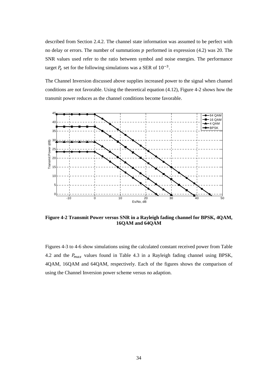described from Section 2.4.2. The channel state information was assumed to be perfect with no delay or errors. The number of summations  $p$  performed in expression (4.2) was 20. The SNR values used refer to the ratio between symbol and noise energies. The performance target  $P_e$  set for the following simulations was a SER of  $10^{-3}$ .

The Channel Inversion discussed above supplies increased power to the signal when channel conditions are not favorable. Using the theoretical equation (4.12), Figure 4-2 shows how the transmit power reduces as the channel conditions become favorable.



**Figure 4-2 Transmit Power versus SNR in a Rayleigh fading channel for BPSK, 4QAM, 16QAM and 64QAM** 

Figures 4-3 to 4-6 show simulations using the calculated constant received power from Table 4.2 and the  $P_{max}$  values found in Table 4.3 in a Rayleigh fading channel using BPSK, 4QAM, 16QAM and 64QAM, respectively. Each of the figures shows the comparison of using the Channel Inversion power scheme versus no adaption.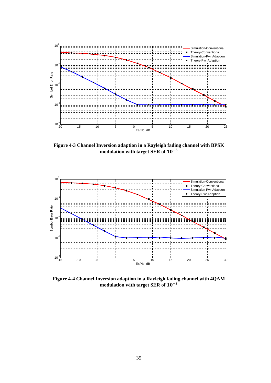

**Figure 4-3 Channel Inversion adaption in a Rayleigh fading channel with BPSK**  modulation with target SER of  $10^{-3}$ 



**Figure 4-4 Channel Inversion adaption in a Rayleigh fading channel with 4QAM**  modulation with target SER of  $10^{-3}$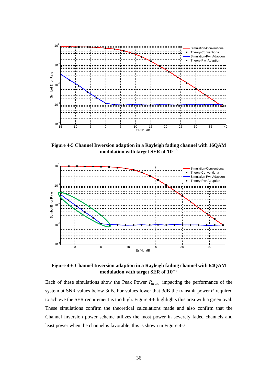

**Figure 4-5 Channel Inversion adaption in a Rayleigh fading channel with 16QAM**  modulation with target SER of  $10^{-3}$ 



**Figure 4-6 Channel Inversion adaption in a Rayleigh fading channel with 64QAM**  modulation with target SER of  $10^{-3}$ 

Each of these simulations show the Peak Power  $P_{max}$  impacting the performance of the system at SNR values below 3dB. For values lower that 3dB the transmit power  $P$  required to achieve the SER requirement is too high. Figure 4-6 highlights this area with a green oval. These simulations confirm the theoretical calculations made and also confirm that the Channel Inversion power scheme utilizes the most power in severely faded channels and least power when the channel is favorable, this is shown in Figure 4-7.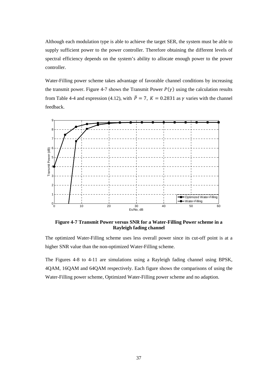Although each modulation type is able to achieve the target SER, the system must be able to supply sufficient power to the power controller. Therefore obtaining the different levels of spectral efficiency depends on the system's ability to allocate enough power to the power controller.

Water-Filling power scheme takes advantage of favorable channel conditions by increasing the transmit power. Figure 4-7 shows the Transmit Power  $P(\gamma)$  using the calculation results from Table 4-4 and expression (4.12), with  $\overline{P} = 7$ ,  $K = 0.2831$  as  $\gamma$  varies with the channel feedback.



**Figure 4-7 Transmit Power versus SNR for a Water-Filling Power scheme in a Rayleigh fading channel** 

The optimized Water-Filling scheme uses less overall power since its cut-off point is at a higher SNR value than the non-optimized Water-Filling scheme.

The Figures 4-8 to 4-11 are simulations using a Rayleigh fading channel using BPSK, 4QAM, 16QAM and 64QAM respectively. Each figure shows the comparisons of using the Water-Filling power scheme, Optimized Water-Filling power scheme and no adaption.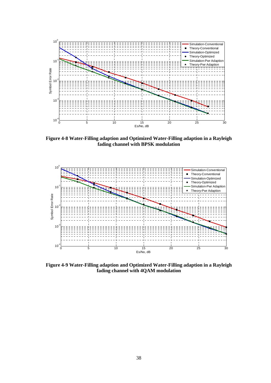

**Figure 4-8 Water-Filling adaption and Optimized Water-Filling adaption in a Rayleigh fading channel with BPSK modulation** 



**Figure 4-9 Water-Filling adaption and Optimized Water-Filling adaption in a Rayleigh fading channel with 4QAM modulation**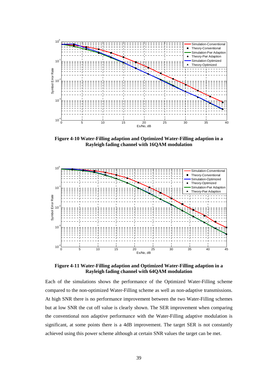

**Figure 4-10 Water-Filling adaption and Optimized Water-Filling adaption in a Rayleigh fading channel with 16QAM modulation** 



**Figure 4-11 Water-Filling adaption and Optimized Water-Filling adaption in a Rayleigh fading channel with 64QAM modulation** 

Each of the simulations shows the performance of the Optimized Water-Filling scheme compared to the non-optimized Water-Filling scheme as well as non-adaptive transmissions. At high SNR there is no performance improvement between the two Water-Filling schemes but at low SNR the cut off value is clearly shown. The SER improvement when comparing the conventional non adaptive performance with the Water-Filling adaptive modulation is significant, at some points there is a 4dB improvement. The target SER is not constantly achieved using this power scheme although at certain SNR values the target can be met.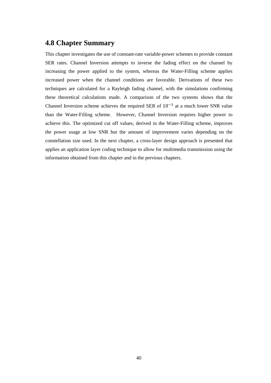### **4.8 Chapter Summary**

This chapter investigates the use of constant-rate variable-power schemes to provide constant SER rates. Channel Inversion attempts to inverse the fading effect on the channel by increasing the power applied to the system, whereas the Water-Filling scheme applies increased power when the channel conditions are favorable. Derivations of these two techniques are calculated for a Rayleigh fading channel, with the simulations confirming these theoretical calculations made. A comparison of the two systems shows that the Channel Inversion scheme achieves the required SER of  $10^{-3}$  at a much lower SNR value than the Water-Filling scheme. However, Channel Inversion requires higher power to achieve this. The optimized cut off values, derived in the Water-Filling scheme, improves the power usage at low SNR but the amount of improvement varies depending on the constellation size used. In the next chapter, a cross-layer design approach is presented that applies an application layer coding technique to allow for multimedia transmission using the information obtained from this chapter and in the previous chapters.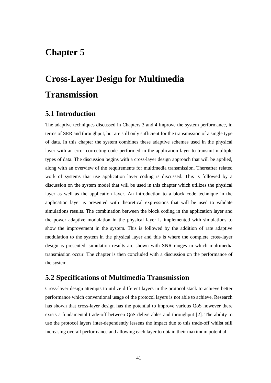# **Chapter 5**

# **Cross-Layer Design for Multimedia Transmission**

## **5.1 Introduction**

The adaptive techniques discussed in Chapters 3 and 4 improve the system performance, in terms of SER and throughput, but are still only sufficient for the transmission of a single type of data. In this chapter the system combines these adaptive schemes used in the physical layer with an error correcting code performed in the application layer to transmit multiple types of data. The discussion begins with a cross-layer design approach that will be applied, along with an overview of the requirements for multimedia transmission. Thereafter related work of systems that use application layer coding is discussed. This is followed by a discussion on the system model that will be used in this chapter which utilizes the physical layer as well as the application layer. An introduction to a block code technique in the application layer is presented with theoretical expressions that will be used to validate simulations results. The combination between the block coding in the application layer and the power adaptive modulation in the physical layer is implemented with simulations to show the improvement in the system. This is followed by the addition of rate adaptive modulation to the system in the physical layer and this is where the complete cross-layer design is presented, simulation results are shown with SNR ranges in which multimedia transmission occur. The chapter is then concluded with a discussion on the performance of the system.

### **5.2 Specifications of Multimedia Transmission**

Cross-layer design attempts to utilize different layers in the protocol stack to achieve better performance which conventional usage of the protocol layers is not able to achieve. Research has shown that cross-layer design has the potential to improve various QoS however there exists a fundamental trade-off between QoS deliverables and throughput [2]. The ability to use the protocol layers inter-dependently lessens the impact due to this trade-off whilst still increasing overall performance and allowing each layer to obtain their maximum potential.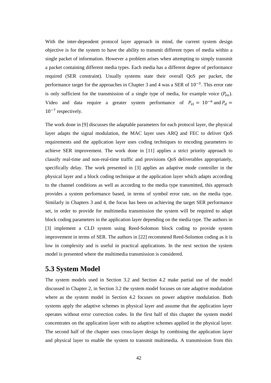With the inter-dependent protocol layer approach in mind, the current system design objective is for the system to have the ability to transmit different types of media within a single packet of information. However a problem arises when attempting to simply transmit a packet containing different media types. Each media has a different degree of performance required (SER constraint). Usually systems state their overall QoS per packet, the performance target for the approaches in Chapter 3 and 4 was a SER of  $10^{-3}$ . This error rate is only sufficient for the transmission of a single type of media, for example voice  $(P_{v0})$ . Video and data require a greater system performance of  $P_{vi} = 10^{-6}$  and  $P_d =$  $10^{-7}$  respectively.

The work done in [9] discusses the adaptable parameters for each protocol layer, the physical layer adapts the signal modulation, the MAC layer uses ARQ and FEC to deliver QoS requirements and the application layer uses coding techniques to encoding parameters to achieve SER improvement. The work done in [11] applies a strict priority approach to classify real-time and non-real-time traffic and provisions QoS deliverables appropriately, specifically delay. The work presented in [3] applies an adaptive mode controller in the physical layer and a block coding technique at the application layer which adapts according to the channel conditions as well as according to the media type transmitted, this approach provides a system performance based, in terms of symbol error rate, on the media type. Similarly in Chapters 3 and 4, the focus has been on achieving the target SER performance set, in order to provide for multimedia transmission the system will be required to adapt block coding parameters in the application layer depending on the media type. The authors in [3] implement a CLD system using Reed-Solomon block coding to provide system improvement in terms of SER. The authors in [22] recommend Reed-Solomon coding as it is low in complexity and is useful in practical applications. In the next section the system model is presented where the multimedia transmission is considered.

### **5.3 System Model**

The system models used in Section 3.2 and Section 4.2 make partial use of the model discussed in Chapter 2, in Section 3.2 the system model focuses on rate adaptive modulation where as the system model in Section 4.2 focuses on power adaptive modulation. Both systems apply the adaptive schemes in physical layer and assume that the application layer operates without error correction codes. In the first half of this chapter the system model concentrates on the application layer with no adaptive schemes applied in the physical layer. The second half of the chapter uses cross-layer design by combining the application layer and physical layer to enable the system to transmit multimedia. A transmission from this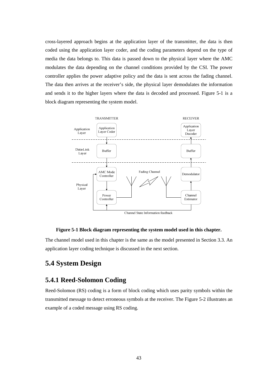cross-layered approach begins at the application layer of the transmitter, the data is then coded using the application layer coder, and the coding parameters depend on the type of media the data belongs to. This data is passed down to the physical layer where the AMC modulates the data depending on the channel conditions provided by the CSI. The power controller applies the power adaptive policy and the data is sent across the fading channel. The data then arrives at the receiver's side, the physical layer demodulates the information and sends it to the higher layers where the data is decoded and processed. Figure 5-1 is a block diagram representing the system model.



### **Figure 5-1 Block diagram representing the system model used in this chapter.**

The channel model used in this chapter is the same as the model presented in Section 3.3. An application layer coding technique is discussed in the next section.

## **5.4 System Design**

### **5.4.1 Reed-Solomon Coding**

Reed-Solomon (RS) coding is a form of block coding which uses parity symbols within the transmitted message to detect erroneous symbols at the receiver. The Figure 5-2 illustrates an example of a coded message using RS coding.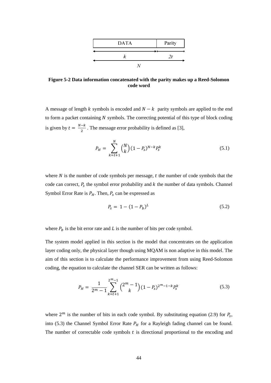

**Figure 5-2 Data information concatenated with the parity makes up a Reed-Solomon code word** 

A message of length k symbols is encoded and  $N - k$  parity symbols are applied to the end to form a packet containing  $N$  symbols. The correcting potential of this type of block coding is given by  $t = \frac{N-k}{2}$ . The message error probability is defined as [3],

$$
P_H = \sum_{k=t+1}^{N} {N \choose k} (1 - P_s)^{N-k} P_s^k
$$
\n(5.1)

where  $N$  is the number of code symbols per message,  $t$  the number of code symbols that the code can correct,  $P_s$  the symbol error probability and  $k$  the number of data symbols. Channel Symbol Error Rate is  $P_H$ . Then,  $P_s$  can be expressed as

$$
P_s = 1 - (1 - P_b)^L \tag{5.2}
$$

where  $P_b$  is the bit error rate and L is the number of bits per code symbol.

The system model applied in this section is the model that concentrates on the application layer coding only, the physical layer though using MQAM is non adaptive in this model. The aim of this section is to calculate the performance improvement from using Reed-Solomon coding, the equation to calculate the channel SER can be written as follows:

$$
P_H = \frac{1}{2^m - 1} \sum_{k=t+1}^{2^m - 1} {2^m - 1 \choose k} (1 - P_s)^{2^m - 1 - k} P_s^k
$$
 (5.3)

where  $2^m$  is the number of bits in each code symbol. By substituting equation (2.9) for  $P_s$ , into (5.3) the Channel Symbol Error Rate  $P_H$  for a Rayleigh fading channel can be found. The number of correctable code symbols  $t$  is directional proportional to the encoding and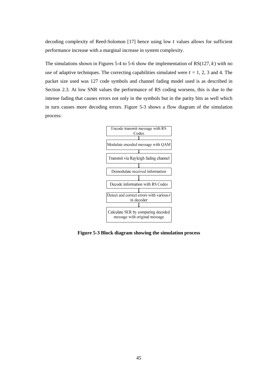decoding complexity of Reed-Solomon  $[17]$  hence using low t values allows for sufficient performance increase with a marginal increase in system complexity.

The simulations shown in Figures 5-4 to 5-6 show the implementation of  $RS(127, k)$  with no use of adaptive techniques. The correcting capabilities simulated were  $t = 1, 2, 3$  and 4. The packet size used was 127 code symbols and channel fading model used is as described in Section 2.3. At low SNR values the performance of RS coding worsens, this is due to the intense fading that causes errors not only in the symbols but in the parity bits as well which in turn causes more decoding errors. Figure 5-3 shows a flow diagram of the simulation process:



**Figure 5-3 Block diagram showing the simulation process**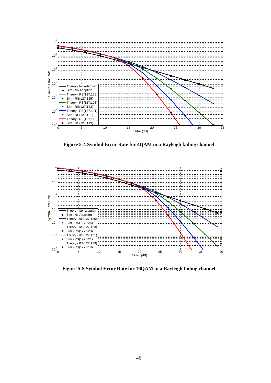

**Figure 5-4 Symbol Error Rate for 4QAM in a Rayleigh fading channel** 



**Figure 5-5 Symbol Error Rate for 16QAM in a Rayleigh fading channel**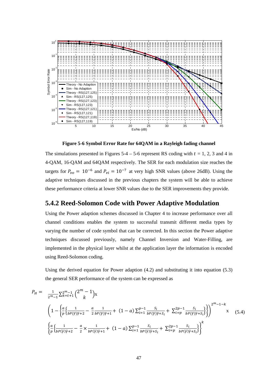

**Figure 5-6 Symbol Error Rate for 64QAM in a Rayleigh fading channel** 

The simulations presented in Figures  $5-4 - 5-6$  represent RS coding with  $t = 1, 2, 3$  and 4 in 4-QAM, 16-QAM and 64QAM respectively. The SER for each modulation size reaches the targets for  $P_{\nu o} = 10^{-6}$  and  $P_{\nu i} = 10^{-7}$  at very high SNR values (above 26dB). Using the adaptive techniques discussed in the previous chapters the system will be able to achieve these performance criteria at lower SNR values due to the SER improvements they provide.

### **5.4.2 Reed-Solomon Code with Power Adaptive Modulation**

Using the Power adaption schemes discussed in Chapter 4 to increase performance over all channel conditions enables the system to successful transmit different media types by varying the number of code symbol that can be corrected. In this section the Power adaptive techniques discussed previously, namely Channel Inversion and Water-Filling, are implemented in the physical layer whilst at the application layer the information is encoded using Reed-Solomon coding.

Using the derived equation for Power adaption (4.2) and substituting it into equation (5.3) the general SER performance of the system can be expressed as

$$
P_{H} = \frac{1}{2^{m}-1} \sum_{k=t+1}^{2^{m}-1} {2^{m}-1 \choose k} x
$$
\n
$$
\left(1 - \left\{\frac{a}{p} \left\{\frac{1}{bP(\overline{\gamma})\overline{\gamma}+2} - \frac{a}{2} \frac{1}{bP(\overline{\gamma})\overline{\gamma}+1} + (1-a) \sum_{i=1}^{p-1} \frac{s_{i}}{bP(\overline{\gamma})\overline{\gamma}+s_{i}} + \sum_{i=p}^{2p-1} \frac{s_{i}}{bP(\overline{\gamma})\overline{\gamma}+s_{i}}\right\}\right)^{2^{m}-1-k} x \quad (5.4)
$$
\n
$$
\left\{\frac{a}{p} \left\{\frac{1}{bP(\overline{\gamma})\overline{\gamma}+2} - \frac{a}{2} \times \frac{1}{bP(\overline{\gamma})\overline{\gamma}+1} + (1-a) \sum_{i=1}^{p-1} \frac{s_{i}}{bP(\overline{\gamma})\overline{\gamma}+s_{i}} + \sum_{i=p}^{2p-1} \frac{s_{i}}{bP(\overline{\gamma})\overline{\gamma}+s_{i}}\right\}\right\}^{k}
$$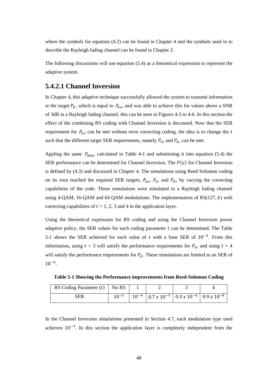where the symbols for equation (4.2) can be found in Chapter 4 and the symbols used in to describe the Rayleigh fading channel can be found in Chapter 2.

The following discussions will use equation  $(5.4)$  as a theoretical expression to represent the adaptive system.

### **5.4.2.1 Channel Inversion**

In Chapter 4, this adaptive technique successfully allowed the system to transmit information at the target  $P_E$ , which is equal to  $P_{vo}$ , and was able to achieve this for values above a SNR of 3dB in a Rayleigh fading channel, this can be seen in Figures 4-3 to 4-6. In this section the effect of the combining RS coding with Channel Inversion is discussed. Now that the SER requirement for  $P_{\nu o}$  can be met without error correcting coding, the idea is to change the t such that the different target SER requirements, namely  $P_{vi}$  and  $P_d$ , can be met.

Appling the same  $P_{max}$  calculated in Table 4-1 and substituting it into equation (5.4) the SER performance can be determined for Channel Inversion. The  $P(\gamma)$  for Channel Inversion is defined by (4.3) and discussed in Chapter 4. The simulations using Reed Solomon coding on its own reached the required SER targets,  $P_{vo}$ ,  $P_{vi}$  and  $P_d$ , by varying the correcting capabilities of the code. These simulations were simulated in a Rayleigh fading channel using 4-QAM, 16-QAM and 64 QAM modulations. The implementation of  $RS(127, k)$  with correcting capabilities of  $t = 1, 2, 3$  and 4 in the application layer.

Using the theoretical expression for RS coding and using the Channel Inversion power adaptive policy, the SER values for each coding parameter  $t$  can be determined. The Table 5-1 shows the SER achieved for each value of t with a base SER of  $10^{-3}$ . From this information, using  $t = 3$  will satisfy the performance requirements for  $P_{vi}$  and using  $t = 4$ will satisfy the performance requirements for  $P_d$ . These simulations are limited to an SER of  $10^{-6}$ .

**Table 5-1 Showing the Performance improvements from Reed-Solomon Coding** 

| RS Coding Parameter $(t)$   No RS |           |  |                                                                                      |  |
|-----------------------------------|-----------|--|--------------------------------------------------------------------------------------|--|
| SER                               | 1 $n - 3$ |  | $10^{-4}$   0.7 x 10 <sup>-5</sup>   0.3 x 10 <sup>-6</sup>   0.9 x 10 <sup>-8</sup> |  |

In the Channel Inversion simulations presented in Section 4.7, each modulation type used achieves  $10^{-3}$ . In this section the application layer is completely independent from the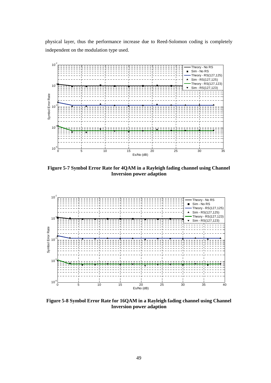physical layer, thus the performance increase due to Reed-Solomon coding is completely independent on the modulation type used.



**Figure 5-7 Symbol Error Rate for 4QAM in a Rayleigh fading channel using Channel Inversion power adaption** 



**Figure 5-8 Symbol Error Rate for 16QAM in a Rayleigh fading channel using Channel Inversion power adaption**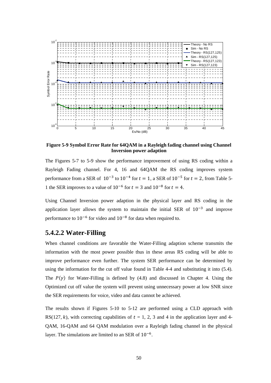

**Figure 5-9 Symbol Error Rate for 64QAM in a Rayleigh fading channel using Channel Inversion power adaption** 

The Figures 5-7 to 5-9 show the performance improvement of using RS coding within a Rayleigh Fading channel. For 4, 16 and 64QAM the RS coding improves system performance from a SER of  $10^{-3}$  to  $10^{-4}$  for  $t = 1$ , a SER of  $10^{-5}$  for  $t = 2$ , from Table 5-1 the SER improves to a value of  $10^{-6}$  for  $t = 3$  and  $10^{-8}$  for  $t = 4$ .

Using Channel Inversion power adaption in the physical layer and RS coding in the application layer allows the system to maintain the initial SER of  $10^{-3}$  and improve performance to  $10^{-6}$  for video and  $10^{-8}$  for data when required to.

### **5.4.2.2 Water-Filling**

When channel conditions are favorable the Water-Filling adaption scheme transmits the information with the most power possible thus in these areas RS coding will be able to improve performance even further. The system SER performance can be determined by using the information for the cut off value found in Table 4-4 and substituting it into (5.4). The  $P(y)$  for Water-Filling is defined by (4.8) and discussed in Chapter 4. Using the Optimized cut off value the system will prevent using unnecessary power at low SNR since the SER requirements for voice, video and data cannot be achieved.

The results shown if Figures 5-10 to 5-12 are performed using a CLD approach with RS(127, k), with correcting capabilities of  $t = 1, 2, 3$  and 4 in the application layer and 4-QAM, 16-QAM and 64 QAM modulation over a Rayleigh fading channel in the physical layer. The simulations are limited to an SER of  $10^{-6}$ .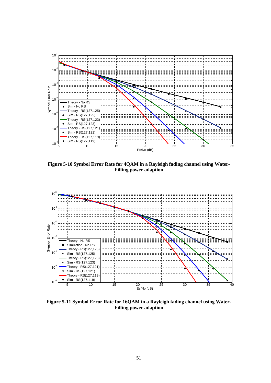

**Figure 5-10 Symbol Error Rate for 4QAM in a Rayleigh fading channel using Water-Filling power adaption** 



**Figure 5-11 Symbol Error Rate for 16QAM in a Rayleigh fading channel using Water-Filling power adaption**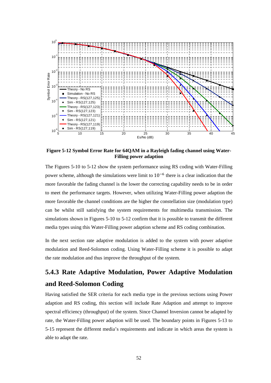

**Figure 5-12 Symbol Error Rate for 64QAM in a Rayleigh fading channel using Water-Filling power adaption** 

The Figures 5-10 to 5-12 show the system performance using RS coding with Water-Filling power scheme, although the simulations were limit to  $10^{-6}$  there is a clear indication that the more favorable the fading channel is the lower the correcting capability needs to be in order to meet the performance targets. However, when utilizing Water-Filling power adaption the more favorable the channel conditions are the higher the constellation size (modulation type) can be whilst still satisfying the system requirements for multimedia transmission. The simulations shown in Figures 5-10 to 5-12 confirm that it is possible to transmit the different media types using this Water-Filling power adaption scheme and RS coding combination.

In the next section rate adaptive modulation is added to the system with power adaptive modulation and Reed-Solomon coding. Using Water-Filling scheme it is possible to adapt the rate modulation and thus improve the throughput of the system.

## **5.4.3 Rate Adaptive Modulation, Power Adaptive Modulation and Reed-Solomon Coding**

Having satisfied the SER criteria for each media type in the previous sections using Power adaption and RS coding, this section will include Rate Adaption and attempt to improve spectral efficiency (throughput) of the system. Since Channel Inversion cannot be adapted by rate, the Water-Filling power adaption will be used. The boundary points in Figures 5-13 to 5-15 represent the different media's requirements and indicate in which areas the system is able to adapt the rate.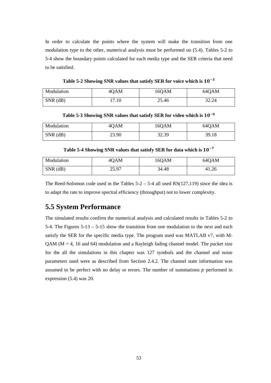In order to calculate the points where the system will make the transition from one modulation type to the other, numerical analysis must be performed on (5.4). Tables 5-2 to 5-4 show the boundary points calculated for each media type and the SER criteria that need to be satisfied.

Table 5-2 Showing SNR values that satisfy SER for voice which is  $10^{-3}$ 

| Modulation | 40AM  | 16QAM | 64QAM |
|------------|-------|-------|-------|
| $SNR$ (dB) | 17.10 | 25.46 | 32.24 |

Table 5-3 Showing SNR values that satisfy SER for video which is  $10^{-6}$ 

| Modulation | 4QAM  | 16QAM | 64QAM |
|------------|-------|-------|-------|
| $SNR$ (dB) | 23.90 | 32.39 | 39.18 |

Table 5-4 Showing SNR values that satisfy SER for data which is  $10^{-7}$ 

| Modulation | 4QAM  | 16QAM | 64QAM |
|------------|-------|-------|-------|
| $SNR$ (dB) | 25.97 | 34.48 | 41.26 |

The Reed-Solomon code used in the Tables  $5-2 - 5-4$  all used RS(127,119) since the idea is to adapt the rate to improve spectral efficiency (throughput) not to lower complexity.

### **5.5 System Performance**

The simulated results confirm the numerical analysis and calculated results in Tables 5-2 to 5-4. The Figures 5-13 – 5-15 show the transition from one modulation to the next and each satisfy the SER for the specific media type. The program used was MATLAB v7, with M-QAM ( $M = 4$ , 16 and 64) modulation and a Rayleigh fading channel model. The packet size for the all the simulations in this chapter was 127 symbols and the channel and noise parameters used were as described from Section 2.4.2. The channel state information was assumed to be perfect with no delay or errors. The number of summations  $p$  performed in expression (5.4) was 20.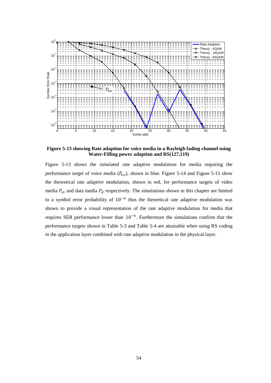

**Figure 5-13 showing Rate adaption for voice media in a Rayleigh fading channel using Water-Filling power adaption and RS(127,119)** 

Figure 5-13 shows the simulated rate adaptive modulation for media requiring the performance target of voice media  $(P_{vo})$ , shown in blue. Figure 5-14 and Figure 5-15 show the theoretical rate adaptive modulation, shown in red, for performance targets of video media  $P_{vi}$  and data media  $P_d$  respectively. The simulations shown in this chapter are limited to a symbol error probability of  $10^{-6}$  thus the theoretical rate adaptive modulation was shown to provide a visual representation of the rate adaptive modulation for media that requires SER performance lower than  $10^{-6}$ . Furthermore the simulations confirm that the performance targets shown in Table 5-3 and Table 5-4 are attainable when using RS coding in the application layer combined with rate adaptive modulation in the physical layer.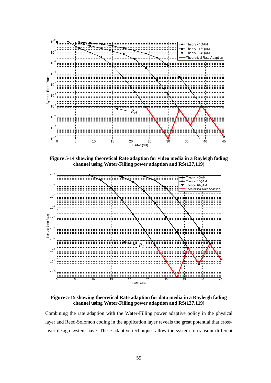

**Figure 5-14 showing theoretical Rate adaption for video media in a Rayleigh fading channel using Water-Filling power adaption and RS(127,119)** 



**Figure 5-15 showing theoretical Rate adaption for data media in a Rayleigh fading channel using Water-Filling power adaption and RS(127,119)** 

Combining the rate adaption with the Water-Filling power adaptive policy in the physical layer and Reed-Solomon coding in the application layer reveals the great potential that crosslayer design system have. These adaptive techniques allow the system to transmit different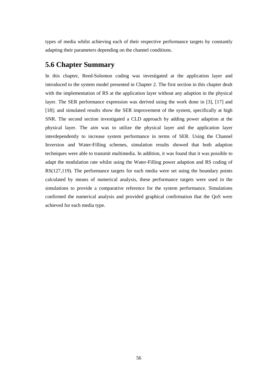types of media whilst achieving each of their respective performance targets by constantly adapting their parameters depending on the channel conditions.

### **5.6 Chapter Summary**

In this chapter, Reed-Solomon coding was investigated at the application layer and introduced to the system model presented in Chapter 2. The first section in this chapter dealt with the implementation of RS at the application layer without any adaption in the physical layer. The SER performance expression was derived using the work done in [3], [17] and [18]; and simulated results show the SER improvement of the system, specifically at high SNR. The second section investigated a CLD approach by adding power adaption at the physical layer. The aim was to utilize the physical layer and the application layer interdependently to increase system performance in terms of SER. Using the Channel Inversion and Water-Filling schemes, simulation results showed that both adaption techniques were able to transmit multimedia. In addition, it was found that it was possible to adapt the modulation rate whilst using the Water-Filling power adaption and RS coding of RS(127,119). The performance targets for each media were set using the boundary points calculated by means of numerical analysis, these performance targets were used in the simulations to provide a comparative reference for the system performance. Simulations confirmed the numerical analysis and provided graphical confirmation that the QoS were achieved for each media type.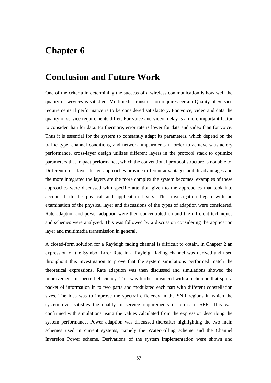# **Chapter 6**

# **Conclusion and Future Work**

One of the criteria in determining the success of a wireless communication is how well the quality of services is satisfied. Multimedia transmission requires certain Quality of Service requirements if performance is to be considered satisfactory. For voice, video and data the quality of service requirements differ. For voice and video, delay is a more important factor to consider than for data. Furthermore, error rate is lower for data and video than for voice. Thus it is essential for the system to constantly adapt its parameters, which depend on the traffic type, channel conditions, and network impairments in order to achieve satisfactory performance. cross-layer design utilizes different layers in the protocol stack to optimize parameters that impact performance, which the conventional protocol structure is not able to. Different cross-layer design approaches provide different advantages and disadvantages and the more integrated the layers are the more complex the system becomes, examples of these approaches were discussed with specific attention given to the approaches that took into account both the physical and application layers. This investigation began with an examination of the physical layer and discussions of the types of adaption were considered. Rate adaption and power adaption were then concentrated on and the different techniques and schemes were analyzed. This was followed by a discussion considering the application layer and multimedia transmission in general.

A closed-form solution for a Rayleigh fading channel is difficult to obtain, in Chapter 2 an expression of the Symbol Error Rate in a Rayleigh fading channel was derived and used throughout this investigation to prove that the system simulations performed match the theoretical expressions. Rate adaption was then discussed and simulations showed the improvement of spectral efficiency. This was further advanced with a technique that split a packet of information in to two parts and modulated each part with different constellation sizes. The idea was to improve the spectral efficiency in the SNR regions in which the system over satisfies the quality of service requirements in terms of SER. This was confirmed with simulations using the values calculated from the expression describing the system performance. Power adaption was discussed thereafter highlighting the two main schemes used in current systems, namely the Water-Filling scheme and the Channel Inversion Power scheme. Derivations of the system implementation were shown and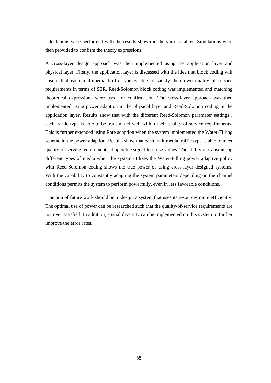calculations were performed with the results shown in the various tables. Simulations were then provided to confirm the theory expressions.

A cross-layer design approach was then implemented using the application layer and physical layer. Firstly, the application layer is discussed with the idea that block coding will ensure that each multimedia traffic type is able to satisfy their own quality of service requirements in terms of SER. Reed-Solomon block coding was implemented and matching theoretical expressions were used for confirmation. The cross-layer approach was then implemented using power adaption in the physical layer and Reed-Solomon coding in the application layer. Results show that with the different Reed-Solomon parameter settings , each traffic type is able to be transmitted well within their quality-of-service requirements. This is further extended using Rate adaption when the system implemented the Water-Filling scheme in the power adaption. Results show that each multimedia traffic type is able to meet quality-of-service requirements at operable signal-to-noise values. The ability of transmitting different types of media when the system utilizes the Water-Filling power adaptive policy with Reed-Solomon coding shows the true power of using cross-layer designed systems. With the capability to constantly adapting the system parameters depending on the channel conditions permits the system to perform powerfully, even in less favorable conditions.

 The aim of future work should be to design a system that uses its resources more efficiently. The optimal use of power can be researched such that the quality-of-service requirements are not over satisfied. In addition, spatial diversity can be implemented on this system to further improve the error rates.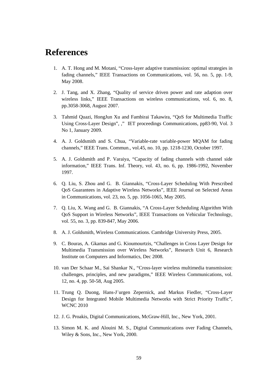## **References**

- 1. A. T. Hong and M. Motani, "Cross-layer adaptive transmission: optimal strategies in fading channels," IEEE Transactions on Communications, vol. 56, no. 5, pp. 1-9, May 2008.
- 2. J. Tang, and X. Zhang, "Quality of service driven power and rate adaption over wireless links," IEEE Transactions on wireless communications, vol. 6, no. 8, pp.3058-3068, August 2007.
- 3. Tahmid Quazi, HongJun Xu and Fambirai Takawira, "QoS for Multimedia Traffic Using Cross-Layer Design", *,*" IET proceedings Communications, pp83-90, Vol. 3 No 1, January 2009.
- 4. A. J. Goldsmith and S. Chua, "Variable-rate variable-power MQAM for fading channels," IEEE Trans. Commun., vol.45, no. 10, pp. 1218-1230, October 1997.
- 5. A. J. Goldsmith and P. Varaiya, "Capacity of fading channels with channel side information," IEEE Trans. Inf. Theory, vol. 43, no. 6, pp. 1986-1992, November 1997.
- 6. Q. Liu, S. Zhou and G. B. Giannakis, "Cross-Layer Scheduling With Prescribed QoS Guarantees in Adaptive Wireless Networks", IEEE Journal on Selected Areas in Communications, vol. 23, no. 5, pp. 1056-1065, May 2005.
- 7. Q. Liu, X. Wang and G. B. Giannakis, "A Cross-Layer Scheduling Algorithm With QoS Support in Wireless Networks", IEEE Transactions on Vehicular Technology, vol. 55, no. 3, pp. 839-847, May 2006.
- 8. A. J. Goldsmith, Wireless Communications. Cambridge University Press, 2005.
- 9. C. Bouras, A. Gkamas and G. Kioumourtzis, "Challenges in Cross Layer Design for Multimedia Transmission over Wireless Networks", Research Unit 6, Research Institute on Computers and Informatics, Dec 2008.
- 10. van Der Schaar M., Sai Shankar N., "Cross-layer wireless multimedia transmission: challenges, principles, and new paradigms," IEEE Wireless Communications, vol. 12, no. 4, pp. 50-58, Aug 2005.
- 11. Trung Q. Duong, Hans-J¨urgen Zepernick, and Markus Fiedler, "Cross-Layer Design for Integrated Mobile Multimedia Networks with Strict Priority Traffic", WCNC 2010
- 12. J. G. Proakis, Digital Communications, McGraw-Hill, Inc., New York, 2001.
- 13. Simon M. K. and Alouini M. S., Digital Communications over Fading Channels, Wiley & Sons, Inc., New York, 2000.